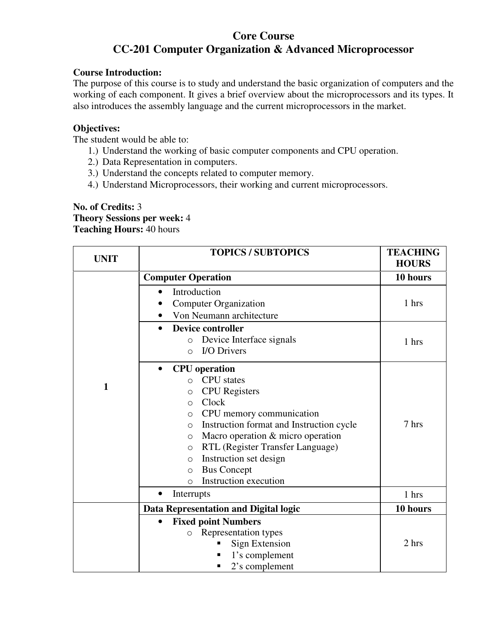# **Core Course CC-201 Computer Organization & Advanced Microprocessor**

### **Course Introduction:**

The purpose of this course is to study and understand the basic organization of computers and the working of each component. It gives a brief overview about the microprocessors and its types. It also introduces the assembly language and the current microprocessors in the market.

### **Objectives:**

The student would be able to:

- 1.) Understand the working of basic computer components and CPU operation.
- 2.) Data Representation in computers.
- 3.) Understand the concepts related to computer memory.
- 4.) Understand Microprocessors, their working and current microprocessors.

#### **No. of Credits:** 3 **Theory Sessions per week:** 4 **Teaching Hours:** 40 hours

| <b>UNIT</b> | <b>TOPICS / SUBTOPICS</b>                                                                                                                                                                                                                                                                                                                                                                                                  | <b>TEACHING</b><br><b>HOURS</b> |
|-------------|----------------------------------------------------------------------------------------------------------------------------------------------------------------------------------------------------------------------------------------------------------------------------------------------------------------------------------------------------------------------------------------------------------------------------|---------------------------------|
|             | <b>Computer Operation</b>                                                                                                                                                                                                                                                                                                                                                                                                  | 10 hours                        |
|             | Introduction<br>$\bullet$<br><b>Computer Organization</b><br>Von Neumann architecture                                                                                                                                                                                                                                                                                                                                      | 1 hrs                           |
|             | <b>Device controller</b><br>$\bullet$<br>Device Interface signals<br>$\circ$<br><b>I/O Drivers</b><br>$\Omega$                                                                                                                                                                                                                                                                                                             | 1 hrs                           |
| 1           | <b>CPU</b> operation<br>$\bullet$<br><b>CPU</b> states<br>$\Omega$<br><b>CPU</b> Registers<br>$\circ$<br>Clock<br>$\circ$<br>CPU memory communication<br>$\circ$<br>Instruction format and Instruction cycle<br>$\circ$<br>Macro operation & micro operation<br>$\circ$<br>RTL (Register Transfer Language)<br>$\circ$<br>Instruction set design<br>O<br><b>Bus Concept</b><br>$\circ$<br>Instruction execution<br>$\circ$ | 7 hrs                           |
|             | Interrupts<br>$\bullet$                                                                                                                                                                                                                                                                                                                                                                                                    | 1 hrs                           |
|             | Data Representation and Digital logic                                                                                                                                                                                                                                                                                                                                                                                      | 10 hours                        |
|             | <b>Fixed point Numbers</b><br>Representation types<br>$\circ$<br><b>Sign Extension</b><br>1's complement<br>2's complement                                                                                                                                                                                                                                                                                                 | 2 hrs                           |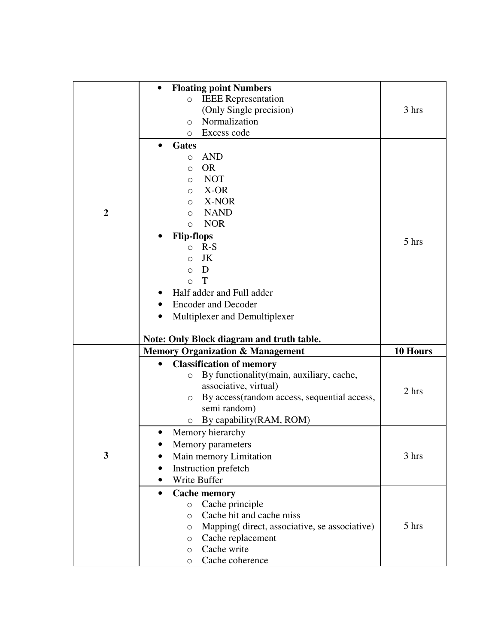|                  | <b>Floating point Numbers</b>                        |          |
|------------------|------------------------------------------------------|----------|
|                  | <b>IEEE</b> Representation<br>$\circ$                |          |
|                  | (Only Single precision)                              | 3 hrs    |
|                  | Normalization<br>$\circ$                             |          |
|                  | Excess code<br>O                                     |          |
|                  |                                                      |          |
|                  | Gates                                                |          |
|                  | <b>AND</b><br>$\circ$                                |          |
|                  | <b>OR</b><br>$\circ$                                 |          |
|                  | <b>NOT</b><br>$\circ$                                |          |
|                  | X-OR<br>$\circ$                                      |          |
|                  | X-NOR<br>O                                           |          |
| $\boldsymbol{2}$ | <b>NAND</b><br>$\circ$                               |          |
|                  | <b>NOR</b><br>$\circ$                                |          |
|                  | <b>Flip-flops</b>                                    | 5 hrs    |
|                  | $R-S$<br>$\Omega$                                    |          |
|                  | JK<br>$\Omega$                                       |          |
|                  | D<br>$\Omega$                                        |          |
|                  | T<br>$\bigcirc$                                      |          |
|                  | Half adder and Full adder                            |          |
|                  | <b>Encoder and Decoder</b>                           |          |
|                  | Multiplexer and Demultiplexer                        |          |
|                  |                                                      |          |
|                  | Note: Only Block diagram and truth table.            |          |
|                  | <b>Memory Organization &amp; Management</b>          | 10 Hours |
|                  | <b>Classification of memory</b><br>$\bullet$         |          |
|                  | By functionality (main, auxiliary, cache,<br>$\circ$ |          |
|                  | associative, virtual)                                | 2 hrs    |
|                  | By access (random access, sequential access,<br>O    |          |
|                  | semi random)                                         |          |
|                  | By capability (RAM, ROM)<br>О                        |          |
|                  | Memory hierarchy                                     |          |
|                  | Memory parameters                                    |          |
| 3                | Main memory Limitation                               | 3 hrs    |
|                  | Instruction prefetch                                 |          |
|                  | Write Buffer                                         |          |
|                  | <b>Cache memory</b><br>$\bullet$                     |          |
|                  | Cache principle<br>$\circ$                           |          |
|                  | Cache hit and cache miss<br>$\circ$                  |          |
|                  | Mapping (direct, associative, se associative)<br>O   | 5 hrs    |
|                  |                                                      |          |
|                  |                                                      |          |
|                  | Cache replacement<br>O                               |          |
|                  | Cache write<br>$\circ$<br>Cache coherence<br>$\circ$ |          |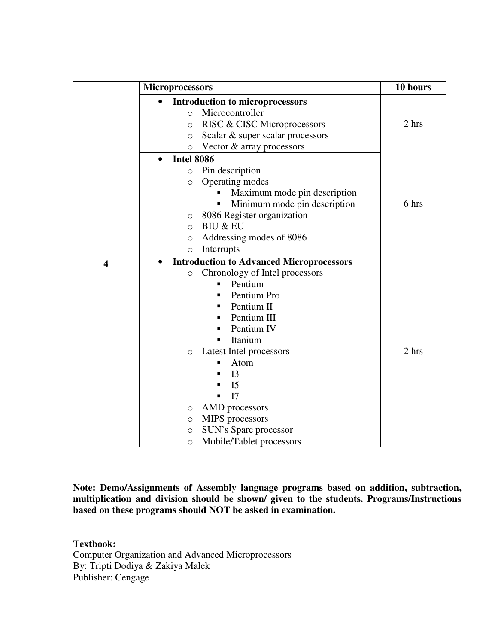|                         | <b>Microprocessors</b>                                                                                                                                                                                                                                                                                                                                                                                                                       | 10 hours |
|-------------------------|----------------------------------------------------------------------------------------------------------------------------------------------------------------------------------------------------------------------------------------------------------------------------------------------------------------------------------------------------------------------------------------------------------------------------------------------|----------|
|                         | <b>Introduction to microprocessors</b><br>$\bullet$<br>Microcontroller<br>$\circ$<br>RISC & CISC Microprocessors<br>$\circ$<br>Scalar & super scalar processors<br>$\circ$<br>Vector & array processors<br>$\circ$                                                                                                                                                                                                                           | 2 hrs    |
|                         | <b>Intel 8086</b><br>$\bullet$<br>Pin description<br>$\circ$<br>Operating modes<br>$\circ$<br>Maximum mode pin description<br>Minimum mode pin description<br>п<br>8086 Register organization<br>$\circ$<br><b>BIU &amp; EU</b><br>$\Omega$<br>Addressing modes of 8086<br>$\bigcirc$<br>Interrupts<br>$\circ$                                                                                                                               | 6 hrs    |
| $\overline{\mathbf{4}}$ | <b>Introduction to Advanced Microprocessors</b><br>Chronology of Intel processors<br>$\circ$<br>Pentium<br>٠<br>Pentium Pro<br>п<br>Pentium II<br>п<br>Pentium III<br>п<br>Pentium IV<br>п<br>Itanium<br>Latest Intel processors<br>$\circ$<br>Atom<br>▪<br>I <sub>3</sub><br>■<br>I <sub>5</sub><br>I7<br>П<br>AMD processors<br>O<br>MIPS processors<br>$\circ$<br>SUN's Sparc processor<br>$\circ$<br>Mobile/Tablet processors<br>$\circ$ | 2 hrs    |

**Note: Demo/Assignments of Assembly language programs based on addition, subtraction, multiplication and division should be shown/ given to the students. Programs/Instructions based on these programs should NOT be asked in examination.** 

**Textbook:**  Computer Organization and Advanced Microprocessors By: Tripti Dodiya & Zakiya Malek Publisher: Cengage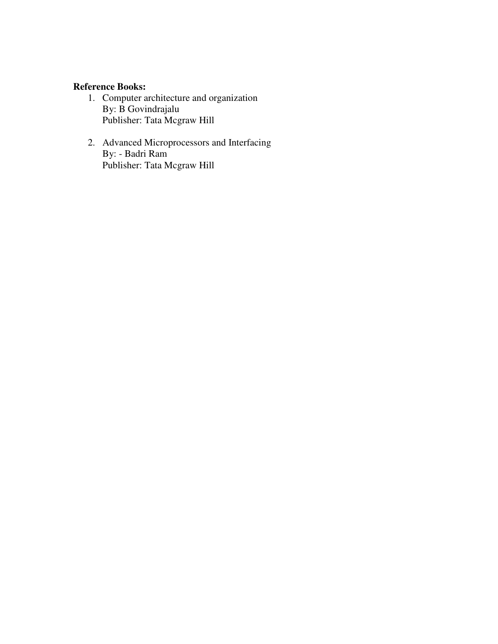## **Reference Books:**

- 1. Computer architecture and organization By: B Govindrajalu Publisher: Tata Mcgraw Hill
- 2. Advanced Microprocessors and Interfacing By: - Badri Ram Publisher: Tata Mcgraw Hill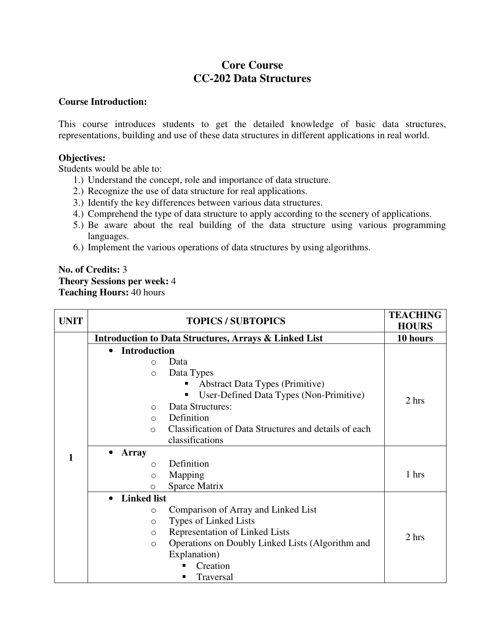# **Core Course CC-202 Data Structures**

#### **Course Introduction:**

This course introduces students to get the detailed knowledge of basic data structures, representations, building and use of these data structures in different applications in real world.

#### **Objectives:**

Students would be able to:

- 1.) Understand the concept, role and importance of data structure.
- 2.) Recognize the use of data structure for real applications.
- 3.) Identify the key differences between various data structures.
- 4.) Comprehend the type of data structure to apply according to the scenery of applications.
- 5.) Be aware about the real building of the data structure using various programming languages.
- 6.) Implement the various operations of data structures by using algorithms.

## **No. of Credits:** 3 **Theory Sessions per week:** 4 **Teaching Hours:** 40 hours

| <b>UNIT</b> | <b>TOPICS / SUBTOPICS</b>                                         | <b>TEACHING</b><br><b>HOURS</b> |
|-------------|-------------------------------------------------------------------|---------------------------------|
|             | <b>Introduction to Data Structures, Arrays &amp; Linked List</b>  | 10 hours                        |
|             | <b>Introduction</b><br>$\bullet$                                  |                                 |
|             | Data<br>$\Omega$                                                  |                                 |
|             | Data Types<br>$\Omega$                                            |                                 |
|             | <b>Abstract Data Types (Primitive)</b><br>п                       |                                 |
|             | User-Defined Data Types (Non-Primitive)<br>п                      | 2 hrs                           |
|             | Data Structures:<br>$\bigcirc$                                    |                                 |
|             | Definition<br>$\bigcirc$                                          |                                 |
|             | Classification of Data Structures and details of each<br>$\Omega$ |                                 |
|             | classifications                                                   |                                 |
| 1           | <b>Array</b>                                                      |                                 |
|             | Definition<br>$\Omega$                                            |                                 |
|             | Mapping<br>$\Omega$                                               | 1 hrs                           |
|             | Sparce Matrix<br>$\circ$                                          |                                 |
|             | <b>Linked list</b><br>$\bullet$                                   |                                 |
|             | Comparison of Array and Linked List<br>$\circ$                    |                                 |
|             | Types of Linked Lists<br>$\circ$                                  |                                 |
|             | Representation of Linked Lists<br>$\circ$                         | 2 hrs                           |
|             | Operations on Doubly Linked Lists (Algorithm and<br>$\circ$       |                                 |
|             | Explanation)                                                      |                                 |
|             | Creation                                                          |                                 |
|             | Traversal                                                         |                                 |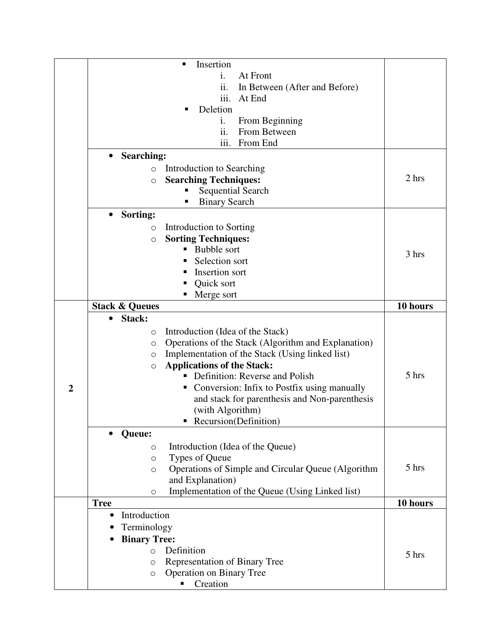|                | Insertion<br>٠                                                      |          |
|----------------|---------------------------------------------------------------------|----------|
|                | At Front<br>1.                                                      |          |
|                | ii.<br>In Between (After and Before)                                |          |
|                | iii.<br>At End                                                      |          |
|                | Deletion<br>п                                                       |          |
|                | From Beginning<br>1.                                                |          |
|                | From Between<br>11.                                                 |          |
|                | iii.<br>From End                                                    |          |
|                | <b>Searching:</b><br>$\bullet$                                      |          |
|                | Introduction to Searching<br>$\circ$                                |          |
|                | <b>Searching Techniques:</b><br>$\circ$                             | 2 hrs    |
|                | <b>Sequential Search</b>                                            |          |
|                | <b>Binary Search</b><br>п                                           |          |
|                | Sorting:<br>$\bullet$                                               |          |
|                | Introduction to Sorting<br>$\circ$                                  |          |
|                | <b>Sorting Techniques:</b><br>$\circ$                               |          |
|                | Bubble sort                                                         |          |
|                | Selection sort<br>٠                                                 | 3 hrs    |
|                | Insertion sort                                                      |          |
|                | Quick sort                                                          |          |
|                | Merge sort                                                          |          |
|                | <b>Stack &amp; Queues</b>                                           | 10 hours |
|                | Stack:<br>$\bullet$                                                 |          |
|                | Introduction (Idea of the Stack)<br>$\circ$                         |          |
|                | Operations of the Stack (Algorithm and Explanation)<br>O            |          |
|                | Implementation of the Stack (Using linked list)                     |          |
|                | $\circ$<br><b>Applications of the Stack:</b><br>$\circ$             |          |
|                | Definition: Reverse and Polish                                      | 5 hrs    |
| $\overline{2}$ | Conversion: Infix to Postfix using manually<br>п                    |          |
|                | and stack for parenthesis and Non-parenthesis                       |          |
|                | (with Algorithm)                                                    |          |
|                | • Recursion(Definition)                                             |          |
|                | Queue:                                                              |          |
|                |                                                                     |          |
|                | Introduction (Idea of the Queue)<br>$\circ$                         |          |
|                | Types of Queue<br>$\circ$                                           | 5 hrs    |
|                | Operations of Simple and Circular Queue (Algorithm<br>$\circ$       |          |
|                | and Explanation)<br>Implementation of the Queue (Using Linked list) |          |
|                | $\circ$<br><b>Tree</b>                                              | 10 hours |
|                | Introduction<br>$\bullet$                                           |          |
|                |                                                                     |          |
|                | Terminology                                                         |          |
|                | <b>Binary Tree:</b>                                                 |          |
|                | Definition<br>$\Omega$                                              | 5 hrs    |
|                | Representation of Binary Tree<br>$\circ$                            |          |
|                | Operation on Binary Tree<br>$\circ$                                 |          |
|                | Creation                                                            |          |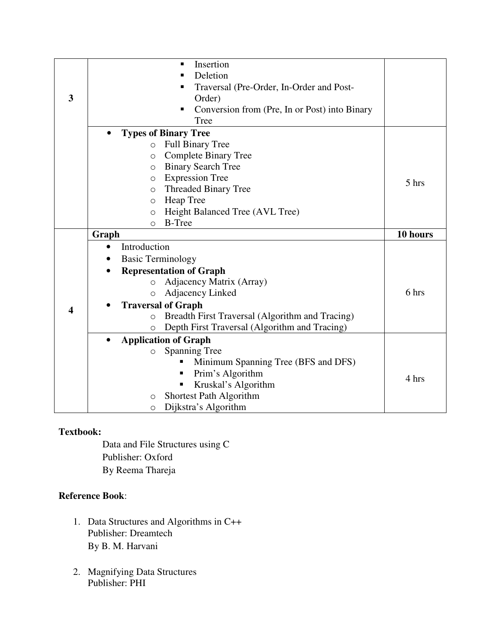|                         | Insertion<br>٠                                             |          |
|-------------------------|------------------------------------------------------------|----------|
|                         | Deletion<br>٠                                              |          |
|                         | Traversal (Pre-Order, In-Order and Post-                   |          |
| 3                       | Order)                                                     |          |
|                         | Conversion from (Pre, In or Post) into Binary<br>٠         |          |
|                         | Tree                                                       |          |
|                         | <b>Types of Binary Tree</b>                                |          |
|                         | <b>Full Binary Tree</b>                                    |          |
|                         | $\circ$                                                    |          |
|                         | <b>Complete Binary Tree</b><br>$\circ$                     |          |
|                         | <b>Binary Search Tree</b><br>$\Omega$                      |          |
|                         | <b>Expression Tree</b><br>O                                | 5 hrs    |
|                         | <b>Threaded Binary Tree</b><br>O                           |          |
|                         | Heap Tree<br>$\Omega$                                      |          |
|                         | Height Balanced Tree (AVL Tree)<br>$\circ$                 |          |
|                         | <b>B-Tree</b><br>∩                                         |          |
|                         | Graph                                                      | 10 hours |
|                         | Introduction<br>$\bullet$                                  |          |
|                         | <b>Basic Terminology</b>                                   |          |
|                         | <b>Representation of Graph</b>                             |          |
|                         | Adjacency Matrix (Array)<br>$\Omega$                       |          |
|                         | Adjacency Linked<br>$\Omega$                               | 6 hrs    |
|                         | <b>Traversal of Graph</b>                                  |          |
| $\overline{\mathbf{4}}$ | Breadth First Traversal (Algorithm and Tracing)<br>$\circ$ |          |
|                         | Depth First Traversal (Algorithm and Tracing)<br>$\circ$   |          |
|                         | <b>Application of Graph</b>                                |          |
|                         | <b>Spanning Tree</b><br>O                                  |          |
|                         |                                                            |          |
|                         | п                                                          |          |
|                         | Minimum Spanning Tree (BFS and DFS)<br>п                   |          |
|                         | Prim's Algorithm<br>Ξ                                      | 4 hrs    |
|                         | Kruskal's Algorithm<br>Shortest Path Algorithm<br>$\circ$  |          |

Data and File Structures using C Publisher: Oxford By Reema Thareja

# **Reference Book**:

- 1. Data Structures and Algorithms in C++ Publisher: Dreamtech By B. M. Harvani
- 2. Magnifying Data Structures Publisher: PHI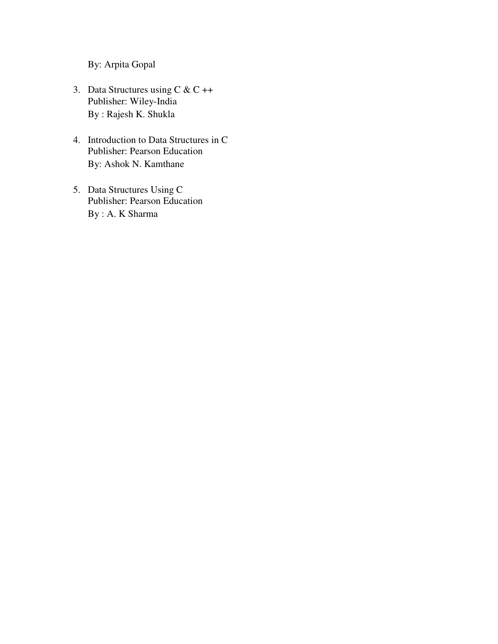By: Arpita Gopal

- 3. Data Structures using  $C & C ++$ Publisher: Wiley-India By : Rajesh K. Shukla
- 4. Introduction to Data Structures in C Publisher: Pearson Education By: Ashok N. Kamthane
- 5. Data Structures Using C Publisher: Pearson Education By : A. K Sharma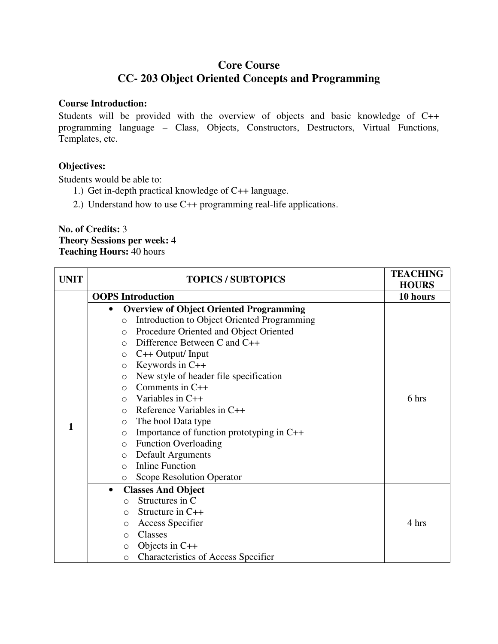# **Core Course CC- 203 Object Oriented Concepts and Programming**

#### **Course Introduction:**

Students will be provided with the overview of objects and basic knowledge of C++ programming language – Class, Objects, Constructors, Destructors, Virtual Functions, Templates, etc.

### **Objectives:**

Students would be able to:

- 1.) Get in-depth practical knowledge of C++ language.
- 2.) Understand how to use C++ programming real-life applications.

## **No. of Credits:** 3 **Theory Sessions per week:** 4 **Teaching Hours:** 40 hours

| <b>UNIT</b> | <b>TOPICS / SUBTOPICS</b>                                     | <b>TEACHING</b> |
|-------------|---------------------------------------------------------------|-----------------|
|             |                                                               | <b>HOURS</b>    |
|             | <b>OOPS</b> Introduction                                      | 10 hours        |
|             | <b>Overview of Object Oriented Programming</b><br>$\bullet$   |                 |
|             | Introduction to Object Oriented Programming<br>$\circ$        |                 |
|             | Procedure Oriented and Object Oriented<br>$\circ$             |                 |
|             | Difference Between C and C++<br>$\Omega$                      |                 |
|             | $C++$ Output/ Input<br>$\circ$                                |                 |
|             | Keywords in C++<br>$\circ$                                    |                 |
|             | New style of header file specification<br>$\circlearrowright$ |                 |
|             | Comments in $C++$<br>$\circ$                                  |                 |
|             | Variables in $C++$<br>$\Omega$                                | 6 hrs           |
|             | Reference Variables in C++<br>$\circ$                         |                 |
| 1           | The bool Data type<br>$\circ$                                 |                 |
|             | Importance of function prototyping in $C++$<br>$\circ$        |                 |
|             | <b>Function Overloading</b><br>$\circ$                        |                 |
|             | <b>Default Arguments</b><br>$\circ$                           |                 |
|             | <b>Inline Function</b><br>$\Omega$                            |                 |
|             | <b>Scope Resolution Operator</b><br>$\circ$                   |                 |
|             | <b>Classes And Object</b><br>$\bullet$                        |                 |
|             | Structures in C<br>$\Omega$                                   |                 |
|             | Structure in C++<br>O                                         |                 |
|             | <b>Access Specifier</b><br>$\circlearrowright$                | 4 hrs           |
|             | Classes<br>$\circ$                                            |                 |
|             | Objects in $C++$<br>$\circ$                                   |                 |
|             | <b>Characteristics of Access Specifier</b><br>$\circ$         |                 |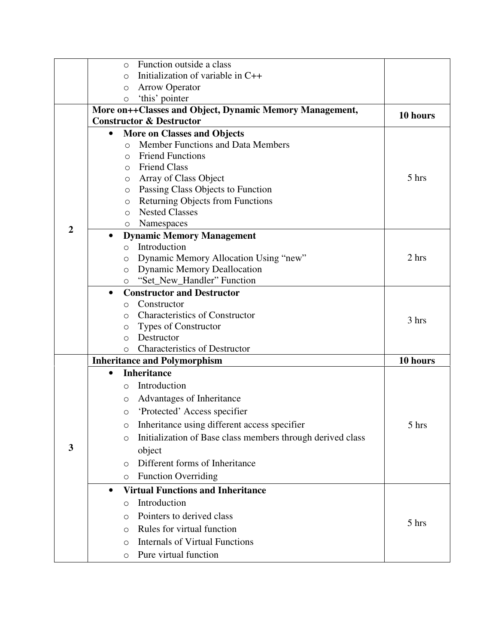|                | Function outside a class<br>$\circ$                                         |                   |
|----------------|-----------------------------------------------------------------------------|-------------------|
|                | Initialization of variable in C++<br>$\Omega$                               |                   |
|                | <b>Arrow Operator</b><br>$\circ$                                            |                   |
|                | 'this' pointer<br>$\circ$                                                   |                   |
|                | More on++Classes and Object, Dynamic Memory Management,                     | 10 hours          |
|                | <b>Constructor &amp; Destructor</b>                                         |                   |
|                | <b>More on Classes and Objects</b>                                          |                   |
|                | <b>Member Functions and Data Members</b><br>$\bigcirc$                      |                   |
|                | <b>Friend Functions</b><br>$\circ$                                          |                   |
|                | <b>Friend Class</b><br>$\circ$                                              |                   |
|                | Array of Class Object<br>$\circ$                                            | 5 hrs             |
|                | Passing Class Objects to Function<br>$\circ$                                |                   |
|                | <b>Returning Objects from Functions</b><br>$\circ$<br><b>Nested Classes</b> |                   |
|                | $\Omega$                                                                    |                   |
| $\overline{2}$ | Namespaces<br>$\circ$<br>$\bullet$                                          |                   |
|                | <b>Dynamic Memory Management</b><br>Introduction<br>$\circ$                 |                   |
|                | Dynamic Memory Allocation Using "new"<br>O                                  | 2 hrs             |
|                | <b>Dynamic Memory Deallocation</b><br>O                                     |                   |
|                | "Set_New_Handler" Function<br>$\circ$                                       |                   |
|                | <b>Constructor and Destructor</b>                                           |                   |
|                | Constructor<br>$\Omega$                                                     |                   |
|                | <b>Characteristics of Constructor</b><br>$\circ$                            |                   |
|                | <b>Types of Constructor</b><br>O                                            | 3 hrs             |
|                | Destructor<br>$\Omega$                                                      |                   |
|                | <b>Characteristics of Destructor</b><br>$\circ$                             |                   |
|                | <b>Inheritance and Polymorphism</b>                                         | 10 hours          |
|                | <b>Inheritance</b><br>$\bullet$                                             |                   |
|                | Introduction<br>$\Omega$                                                    |                   |
|                | Advantages of Inheritance<br>O                                              |                   |
|                | 'Protected' Access specifier<br>$\circ$                                     |                   |
|                | Inheritance using different access specifier<br>O                           | $5\ \mathrm{hrs}$ |
|                | Initialization of Base class members through derived class<br>O             |                   |
| 3              | object                                                                      |                   |
|                | Different forms of Inheritance<br>$\Omega$                                  |                   |
|                | <b>Function Overriding</b><br>$\circ$                                       |                   |
|                | <b>Virtual Functions and Inheritance</b><br>$\bullet$                       |                   |
|                | Introduction<br>$\Omega$                                                    |                   |
|                | Pointers to derived class<br>$\circ$                                        |                   |
|                | Rules for virtual function<br>$\Omega$                                      | 5 hrs             |
|                | <b>Internals of Virtual Functions</b><br>$\Omega$                           |                   |
|                | Pure virtual function<br>O                                                  |                   |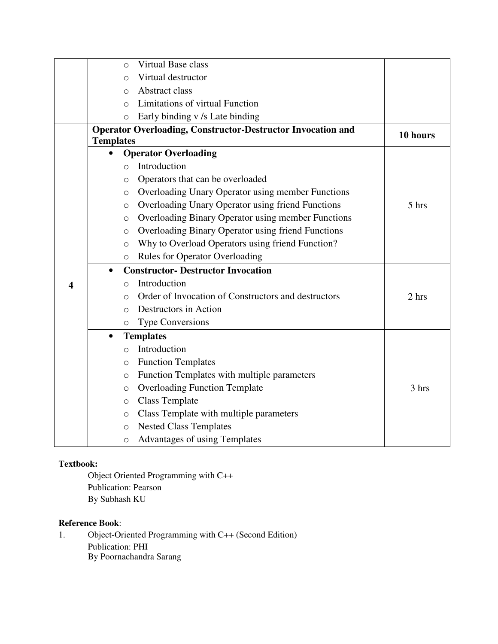|   | $\Omega$         | Virtual Base class                                                 |          |
|---|------------------|--------------------------------------------------------------------|----------|
|   | $\Omega$         | Virtual destructor                                                 |          |
|   | $\Omega$         | Abstract class                                                     |          |
|   | $\Omega$         | Limitations of virtual Function                                    |          |
|   | $\Omega$         | Early binding v /s Late binding                                    |          |
|   |                  | <b>Operator Overloading, Constructor-Destructor Invocation and</b> | 10 hours |
|   | <b>Templates</b> |                                                                    |          |
|   |                  | <b>Operator Overloading</b>                                        |          |
|   | $\bigcirc$       | Introduction                                                       |          |
|   | O                | Operators that can be overloaded                                   |          |
|   | O                | Overloading Unary Operator using member Functions                  |          |
|   | $\circ$          | Overloading Unary Operator using friend Functions                  | 5 hrs    |
|   | $\circ$          | Overloading Binary Operator using member Functions                 |          |
|   | $\circ$          | Overloading Binary Operator using friend Functions                 |          |
|   | $\circ$          | Why to Overload Operators using friend Function?                   |          |
|   | $\circ$          | <b>Rules for Operator Overloading</b>                              |          |
|   | $\bullet$        | <b>Constructor- Destructor Invocation</b>                          |          |
| 4 | O                | Introduction                                                       |          |
|   | O                | Order of Invocation of Constructors and destructors                | 2 hrs    |
|   | $\circ$          | Destructors in Action                                              |          |
|   | $\circ$          | <b>Type Conversions</b>                                            |          |
|   | $\bullet$        | <b>Templates</b>                                                   |          |
|   | $\Omega$         | Introduction                                                       |          |
|   | O                | <b>Function Templates</b>                                          |          |
|   | $\circ$          | Function Templates with multiple parameters                        |          |
|   | O                | <b>Overloading Function Template</b>                               | 3 hrs    |
|   | $\circ$          | <b>Class Template</b>                                              |          |
|   | $\circ$          | Class Template with multiple parameters                            |          |
|   | $\circ$          | <b>Nested Class Templates</b>                                      |          |
|   | $\circ$          | Advantages of using Templates                                      |          |

Object Oriented Programming with C++ Publication: Pearson By Subhash KU

## **Reference Book**:

1. Object-Oriented Programming with C++ (Second Edition) Publication: PHI By Poornachandra Sarang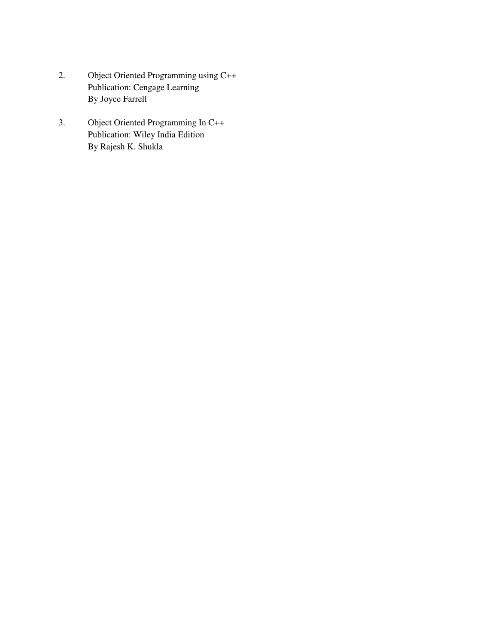- 2. Object Oriented Programming using C++ Publication: Cengage Learning By Joyce Farrell
- 3. Object Oriented Programming In C++ Publication: Wiley India Edition By Rajesh K. Shukla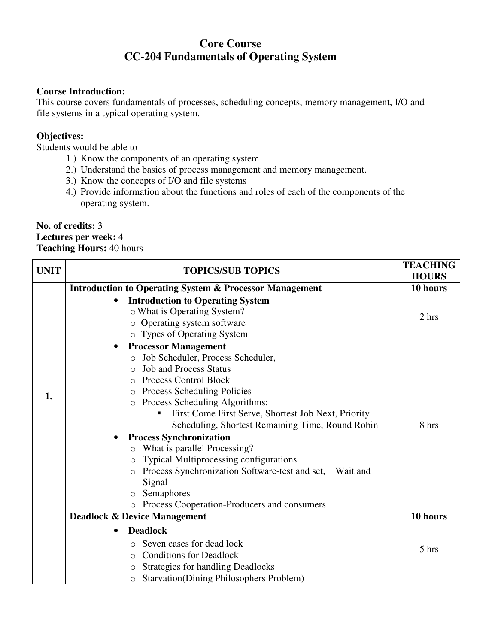# **Core Course CC-204 Fundamentals of Operating System**

# **Course Introduction:**

This course covers fundamentals of processes, scheduling concepts, memory management, I/O and file systems in a typical operating system.

# **Objectives:**

Students would be able to

- 1.) Know the components of an operating system
- 2.) Understand the basics of process management and memory management.
- 3.) Know the concepts of I/O and file systems
- 4.) Provide information about the functions and roles of each of the components of the operating system.

# **No. of credits:** 3 **Lectures per week:** 4 **Teaching Hours:** 40 hours

| <b>UNIT</b> | <b>TOPICS/SUB TOPICS</b>                                                                                                                                                                                                                                                                                                                                                                                                                                                                                                                                                                                                                                          | <b>TEACHING</b><br><b>HOURS</b> |
|-------------|-------------------------------------------------------------------------------------------------------------------------------------------------------------------------------------------------------------------------------------------------------------------------------------------------------------------------------------------------------------------------------------------------------------------------------------------------------------------------------------------------------------------------------------------------------------------------------------------------------------------------------------------------------------------|---------------------------------|
|             | <b>Introduction to Operating System &amp; Processor Management</b>                                                                                                                                                                                                                                                                                                                                                                                                                                                                                                                                                                                                | 10 hours                        |
|             | <b>Introduction to Operating System</b><br>$\bullet$<br>o What is Operating System?<br>o Operating system software<br>o Types of Operating System                                                                                                                                                                                                                                                                                                                                                                                                                                                                                                                 | 2 hrs                           |
| 1.          | <b>Processor Management</b><br>$\bullet$<br>Job Scheduler, Process Scheduler,<br><b>Job and Process Status</b><br><b>Process Control Block</b><br>$\bigcirc$<br>Process Scheduling Policies<br>$\circ$<br>Process Scheduling Algorithms:<br>$\circ$<br>First Come First Serve, Shortest Job Next, Priority<br>Scheduling, Shortest Remaining Time, Round Robin<br><b>Process Synchronization</b><br>$\bullet$<br>What is parallel Processing?<br><b>Typical Multiprocessing configurations</b><br>$\circ$<br>Process Synchronization Software-test and set, Wait and<br>$\circ$<br>Signal<br>Semaphores<br>Process Cooperation-Producers and consumers<br>$\circ$ | 8 hrs                           |
|             | <b>Deadlock &amp; Device Management</b>                                                                                                                                                                                                                                                                                                                                                                                                                                                                                                                                                                                                                           | 10 hours                        |
|             | <b>Deadlock</b><br>$\bullet$<br>Seven cases for dead lock<br><b>Conditions for Deadlock</b><br>$\bigcirc$<br><b>Strategies for handling Deadlocks</b><br><b>Starvation</b> (Dining Philosophers Problem)<br>$\circ$                                                                                                                                                                                                                                                                                                                                                                                                                                               | 5 hrs                           |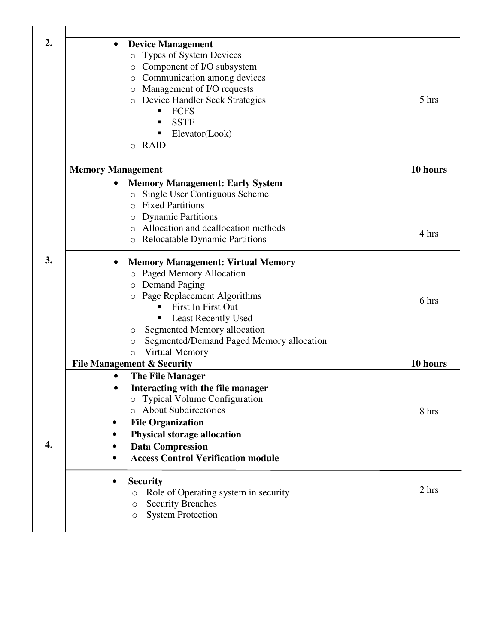| 2. | <b>Device Management</b><br><b>Types of System Devices</b><br>$\circ$<br>Component of I/O subsystem<br>Communication among devices<br>$\circ$<br>Management of I/O requests<br>$\circ$<br><b>O</b> Device Handler Seek Strategies<br><b>FCFS</b><br>٠<br><b>SSTF</b><br>Elevator(Look)<br>$\circ$ RAID                        | 5 hrs    |
|----|-------------------------------------------------------------------------------------------------------------------------------------------------------------------------------------------------------------------------------------------------------------------------------------------------------------------------------|----------|
|    | <b>Memory Management</b>                                                                                                                                                                                                                                                                                                      | 10 hours |
|    | <b>Memory Management: Early System</b><br>Single User Contiguous Scheme<br>$\circ$<br><b>Fixed Partitions</b><br>$\Omega$<br><b>Dynamic Partitions</b><br>O<br>Allocation and deallocation methods<br>$\circ$<br><b>Relocatable Dynamic Partitions</b><br>$\circ$                                                             | 4 hrs    |
| 3. | <b>Memory Management: Virtual Memory</b><br><b>Paged Memory Allocation</b><br>$\circ$<br>o Demand Paging<br>Page Replacement Algorithms<br>$\circ$<br>First In First Out<br>Least Recently Used<br>п<br>Segmented Memory allocation<br>O<br>Segmented/Demand Paged Memory allocation<br>O<br><b>Virtual Memory</b><br>$\circ$ | 6 hrs    |
|    | <b>File Management &amp; Security</b>                                                                                                                                                                                                                                                                                         | 10 hours |
| 4. | <b>The File Manager</b><br>Interacting with the file manager<br>o Typical Volume Configuration<br>o About Subdirectories<br><b>File Organization</b><br><b>Physical storage allocation</b><br><b>Data Compression</b><br><b>Access Control Verification module</b>                                                            | 8 hrs    |
|    | <b>Security</b><br>Role of Operating system in security<br>$\circ$<br><b>Security Breaches</b><br>$\circ$<br><b>System Protection</b><br>O                                                                                                                                                                                    | 2 hrs    |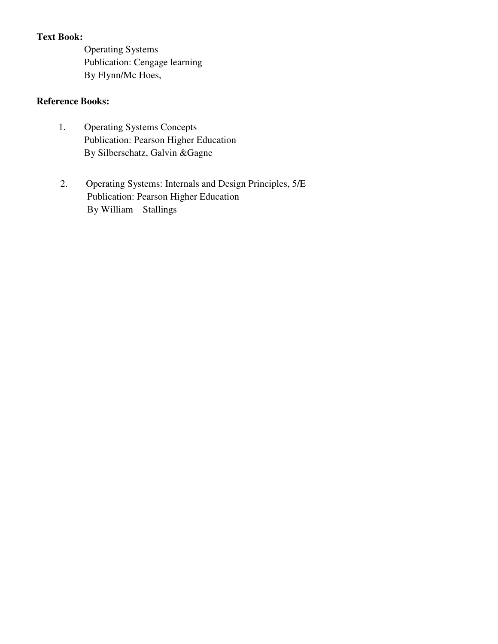# **Text Book:**

Operating Systems Publication: Cengage learning By Flynn/Mc Hoes,

# **Reference Books:**

- Publication: Pearson Higher Education By Silberschatz, Galvin &Gagne 1. Operating Systems Concepts
- 2. Operating Systems: Internals and Design Principles, 5/E Publication: Pearson Higher Education By William Stallings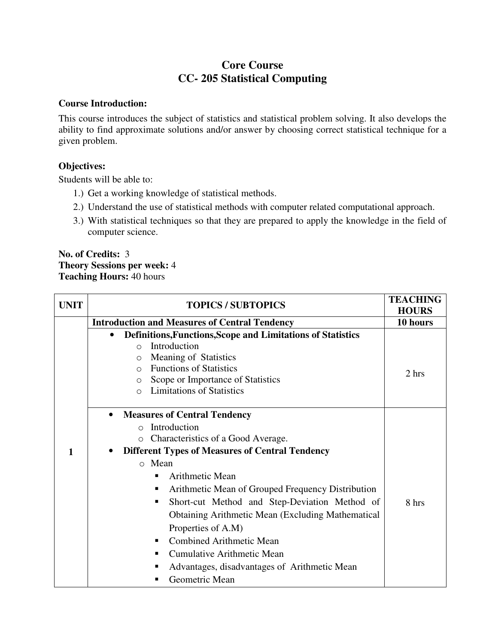# **Core Course CC- 205 Statistical Computing**

## **Course Introduction:**

This course introduces the subject of statistics and statistical problem solving. It also develops the ability to find approximate solutions and/or answer by choosing correct statistical technique for a given problem.

# **Objectives:**

Students will be able to:

- 1.) Get a working knowledge of statistical methods.
- 2.) Understand the use of statistical methods with computer related computational approach.
- 3.) With statistical techniques so that they are prepared to apply the knowledge in the field of computer science.

### **No. of Credits:** 3 **Theory Sessions per week:** 4 **Teaching Hours:** 40 hours

| <b>UNIT</b> | <b>TOPICS / SUBTOPICS</b>                                                                                                                                                                                                                                                                                                                                                                                                                                                                                        | <b>TEACHING</b><br><b>HOURS</b> |
|-------------|------------------------------------------------------------------------------------------------------------------------------------------------------------------------------------------------------------------------------------------------------------------------------------------------------------------------------------------------------------------------------------------------------------------------------------------------------------------------------------------------------------------|---------------------------------|
|             | <b>Introduction and Measures of Central Tendency</b>                                                                                                                                                                                                                                                                                                                                                                                                                                                             | 10 hours                        |
|             | Definitions, Functions, Scope and Limitations of Statistics<br>$\bullet$<br>Introduction<br>$\Omega$<br>Meaning of Statistics<br>$\circ$<br><b>Functions of Statistics</b><br>$\bigcirc$<br>Scope or Importance of Statistics<br>$\circ$<br><b>Limitations of Statistics</b><br>$\bigcap$                                                                                                                                                                                                                        | 2 hrs                           |
| 1           | <b>Measures of Central Tendency</b><br>$\bullet$<br>Introduction<br>$\bigcirc$<br>Characteristics of a Good Average.<br>$\circ$<br><b>Different Types of Measures of Central Tendency</b><br>o Mean<br>Arithmetic Mean<br>٠<br>Arithmetic Mean of Grouped Frequency Distribution<br>ш<br>Short-cut Method and Step-Deviation Method of<br>٠<br><b>Obtaining Arithmetic Mean (Excluding Mathematical)</b><br>Properties of A.M)<br><b>Combined Arithmetic Mean</b><br>п<br><b>Cumulative Arithmetic Mean</b><br>٠ | 8 hrs                           |
|             | Advantages, disadvantages of Arithmetic Mean<br>п<br>Geometric Mean                                                                                                                                                                                                                                                                                                                                                                                                                                              |                                 |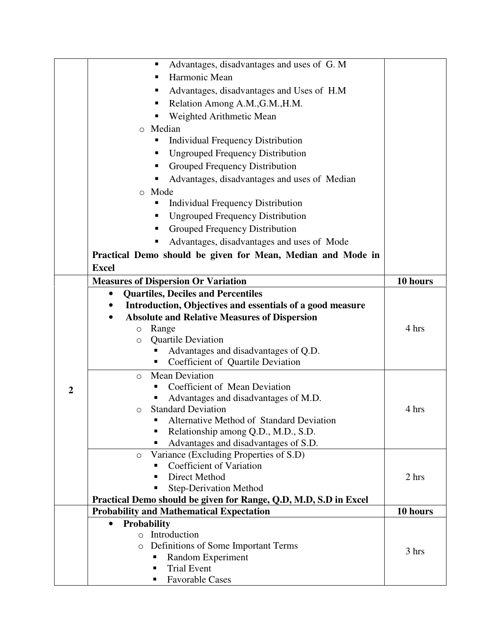|                | Advantages, disadvantages and uses of G. M<br>٠                              |          |
|----------------|------------------------------------------------------------------------------|----------|
|                | Harmonic Mean<br>п                                                           |          |
|                | Advantages, disadvantages and Uses of H.M.<br>ш                              |          |
|                | Relation Among A.M., G.M., H.M.<br>٠                                         |          |
|                | Weighted Arithmetic Mean                                                     |          |
|                |                                                                              |          |
|                | Median<br>$\circ$                                                            |          |
|                | <b>Individual Frequency Distribution</b><br>п                                |          |
|                | <b>Ungrouped Frequency Distribution</b><br>ш                                 |          |
|                | Grouped Frequency Distribution<br>п                                          |          |
|                | Advantages, disadvantages and uses of Median<br>п                            |          |
|                | o Mode                                                                       |          |
|                | <b>Individual Frequency Distribution</b><br>п                                |          |
|                | <b>Ungrouped Frequency Distribution</b><br>٠                                 |          |
|                | Grouped Frequency Distribution                                               |          |
|                | Advantages, disadvantages and uses of Mode                                   |          |
|                | Practical Demo should be given for Mean, Median and Mode in                  |          |
|                | <b>Excel</b>                                                                 |          |
|                | <b>Measures of Dispersion Or Variation</b>                                   | 10 hours |
|                |                                                                              |          |
|                | <b>Quartiles, Deciles and Percentiles</b>                                    |          |
|                | Introduction, Objectives and essentials of a good measure                    |          |
|                | <b>Absolute and Relative Measures of Dispersion</b>                          | 4 hrs    |
|                | Range<br>$\circ$                                                             |          |
|                | <b>Quartile Deviation</b><br>$\circ$<br>Advantages and disadvantages of Q.D. |          |
|                | Coefficient of Quartile Deviation<br>п                                       |          |
|                | <b>Mean Deviation</b>                                                        |          |
|                | $\Omega$<br>Coefficient of Mean Deviation                                    |          |
| $\overline{2}$ | Advantages and disadvantages of M.D.                                         |          |
|                | <b>Standard Deviation</b><br>$\Omega$                                        | 4 hrs    |
|                | Alternative Method of Standard Deviation                                     |          |
|                | Relationship among Q.D., M.D., S.D.                                          |          |
|                | Advantages and disadvantages of S.D.                                         |          |
|                | Variance (Excluding Properties of S.D)<br>$\circ$                            |          |
|                | Coefficient of Variation                                                     |          |
|                | Direct Method<br>п                                                           | 2 hrs    |
|                | <b>Step-Derivation Method</b>                                                |          |
|                | Practical Demo should be given for Range, Q.D, M.D, S.D in Excel             |          |
|                | <b>Probability and Mathematical Expectation</b>                              | 10 hours |
|                | <b>Probability</b><br>$\bullet$                                              |          |
|                | o Introduction                                                               |          |
|                | Definitions of Some Important Terms<br>$\circ$                               | 3 hrs    |
|                | Random Experiment<br>п                                                       |          |
|                | <b>Trial Event</b><br>п                                                      |          |
|                | <b>Favorable Cases</b>                                                       |          |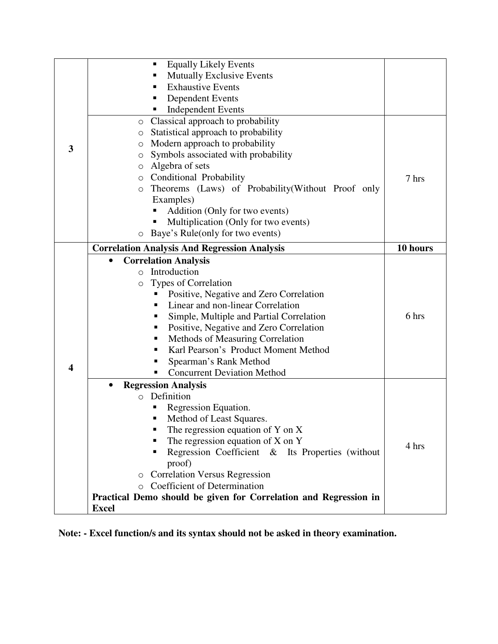|   | <b>Equally Likely Events</b><br>п                                |          |
|---|------------------------------------------------------------------|----------|
|   | <b>Mutually Exclusive Events</b>                                 |          |
|   | <b>Exhaustive Events</b>                                         |          |
|   | <b>Dependent Events</b>                                          |          |
|   | <b>Independent Events</b>                                        |          |
|   | Classical approach to probability<br>O                           |          |
|   | Statistical approach to probability<br>$\circ$                   |          |
| 3 | Modern approach to probability<br>$\circ$                        |          |
|   | Symbols associated with probability<br>$\circ$                   |          |
|   | Algebra of sets<br>$\circ$                                       |          |
|   | Conditional Probability<br>$\circ$                               | 7 hrs    |
|   | Theorems (Laws) of Probability(Without Proof only<br>$\circ$     |          |
|   | Examples)                                                        |          |
|   | Addition (Only for two events)                                   |          |
|   | Multiplication (Only for two events)                             |          |
|   | Baye's Rule(only for two events)<br>$\circ$                      |          |
|   | <b>Correlation Analysis And Regression Analysis</b>              | 10 hours |
|   | <b>Correlation Analysis</b>                                      |          |
|   | Introduction<br>$\circ$                                          |          |
|   | Types of Correlation<br>$\circ$                                  |          |
|   | Positive, Negative and Zero Correlation                          |          |
|   | Linear and non-linear Correlation                                |          |
|   | Simple, Multiple and Partial Correlation<br>п                    | 6 hrs    |
|   | Positive, Negative and Zero Correlation<br>п                     |          |
|   | Methods of Measuring Correlation<br>п                            |          |
|   | Karl Pearson's Product Moment Method<br>٠                        |          |
|   | Spearman's Rank Method                                           |          |
| 4 | <b>Concurrent Deviation Method</b>                               |          |
|   | <b>Regression Analysis</b><br>$\bullet$                          |          |
|   | Definition<br>$\circ$                                            |          |
|   | Regression Equation.                                             |          |
|   | Method of Least Squares.<br>П                                    |          |
|   | The regression equation of Y on X                                |          |
|   | The regression equation of $X$ on $Y$                            | 4 hrs    |
|   | Regression Coefficient & Its Properties (without<br>п            |          |
|   | proof)                                                           |          |
|   | <b>Correlation Versus Regression</b><br>$\circ$                  |          |
|   | <b>Coefficient of Determination</b><br>$\bigcirc$                |          |
|   | Practical Demo should be given for Correlation and Regression in |          |
|   | <b>Excel</b>                                                     |          |

**Note: - Excel function/s and its syntax should not be asked in theory examination.**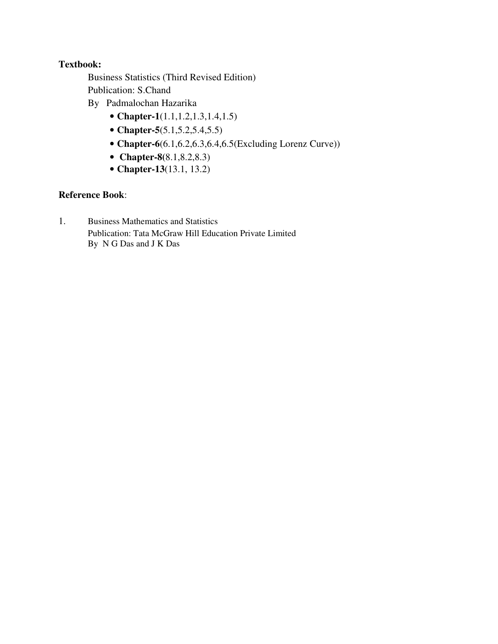- Business Statistics (Third Revised Edition) Publication: S.Chand
- By Padmalochan Hazarika
	- **Chapter-1**(1.1,1.2,1.3,1.4,1.5)
	- **Chapter-5**(5.1,5.2,5.4,5.5)
	- **Chapter-6**(6.1,6.2,6.3,6.4,6.5(Excluding Lorenz Curve))
	- • **Chapter-8(**8.1,8.2,8.3)
	- **Chapter-13**(13.1, 13.2)

# **Reference Book**:

1. Business Mathematics and Statistics Publication: Tata McGraw Hill Education Private Limited By N G Das and J K Das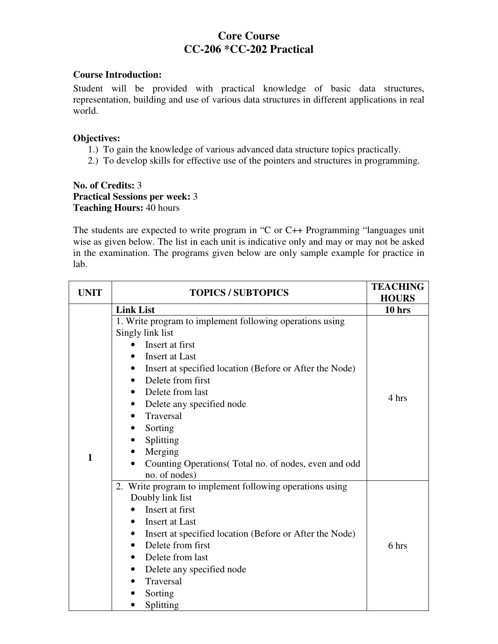# **Core Course CC-206 \*CC-202 Practical**

#### **Course Introduction:**

Student will be provided with practical knowledge of basic data structures, representation, building and use of various data structures in different applications in real world.

#### **Objectives:**

- 1.) To gain the knowledge of various advanced data structure topics practically.
- 2.) To develop skills for effective use of the pointers and structures in programming.

## **No. of Credits:** 3 **Practical Sessions per week:** 3 **Teaching Hours:** 40 hours

The students are expected to write program in "C or C++ Programming "languages unit wise as given below. The list in each unit is indicative only and may or may not be asked in the examination. The programs given below are only sample example for practice in lab.

| <b>UNIT</b> | <b>TOPICS / SUBTOPICS</b>                                                                                                                                                                                                                                                                                                                                                                              | <b>TEACHING</b><br><b>HOURS</b> |
|-------------|--------------------------------------------------------------------------------------------------------------------------------------------------------------------------------------------------------------------------------------------------------------------------------------------------------------------------------------------------------------------------------------------------------|---------------------------------|
|             | <b>Link List</b>                                                                                                                                                                                                                                                                                                                                                                                       | $10$ hrs                        |
| 1           | 1. Write program to implement following operations using<br>Singly link list<br>Insert at first<br>Insert at Last<br>Insert at specified location (Before or After the Node)<br>Delete from first<br>$\bullet$<br>Delete from last<br>Delete any specified node<br>Traversal<br>$\bullet$<br>Sorting<br>Splitting<br>Merging<br>Counting Operations (Total no. of nodes, even and odd<br>no. of nodes) | 4 hrs                           |
|             | 2. Write program to implement following operations using<br>Doubly link list<br>Insert at first<br>Insert at Last<br>Insert at specified location (Before or After the Node)<br>Delete from first<br>$\bullet$<br>Delete from last<br>Delete any specified node<br>Traversal<br>Sorting<br>Splitting                                                                                                   | 6 hrs                           |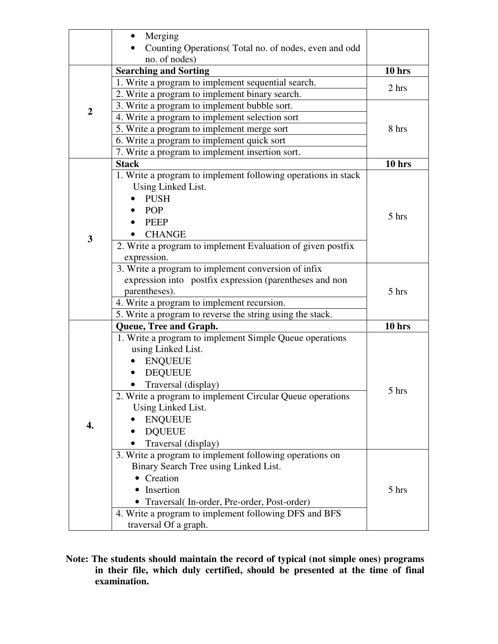|                | Merging                                                       |          |
|----------------|---------------------------------------------------------------|----------|
|                | Counting Operations(Total no. of nodes, even and odd          |          |
|                | no. of nodes)                                                 |          |
|                | <b>Searching and Sorting</b>                                  | $10$ hrs |
|                | 1. Write a program to implement sequential search.            | 2 hrs    |
|                | 2. Write a program to implement binary search.                |          |
| $\overline{2}$ | 3. Write a program to implement bubble sort.                  |          |
|                | 4. Write a program to implement selection sort                |          |
|                | 5. Write a program to implement merge sort                    | 8 hrs    |
|                | 6. Write a program to implement quick sort                    |          |
|                | 7. Write a program to implement insertion sort.               |          |
|                | <b>Stack</b>                                                  | 10 hrs   |
|                | 1. Write a program to implement following operations in stack |          |
|                | Using Linked List.                                            |          |
|                | <b>PUSH</b>                                                   |          |
|                | POP                                                           |          |
|                | <b>PEEP</b>                                                   | 5 hrs    |
|                | <b>CHANGE</b>                                                 |          |
| $\mathbf{3}$   | 2. Write a program to implement Evaluation of given postfix   |          |
|                | expression.                                                   |          |
|                | 3. Write a program to implement conversion of infix           |          |
|                | expression into postfix expression (parentheses and non       |          |
|                | parentheses).                                                 | 5 hrs    |
|                | 4. Write a program to implement recursion.                    |          |
|                | 5. Write a program to reverse the string using the stack.     |          |
|                | Queue, Tree and Graph.                                        | $10$ hrs |
|                | 1. Write a program to implement Simple Queue operations       |          |
|                | using Linked List.                                            |          |
|                | <b>ENQUEUE</b>                                                |          |
|                | <b>DEQUEUE</b>                                                |          |
|                | Traversal (display)                                           |          |
|                | 2. Write a program to implement Circular Queue operations     | 5 hrs    |
|                | Using Linked List.                                            |          |
|                | <b>ENQUEUE</b>                                                |          |
| 4.             | <b>DQUEUE</b>                                                 |          |
|                | Traversal (display)                                           |          |
|                | 3. Write a program to implement following operations on       |          |
|                | Binary Search Tree using Linked List.                         |          |
|                | • Creation                                                    |          |
|                | Insertion                                                     | 5 hrs    |
|                | Traversal (In-order, Pre-order, Post-order)                   |          |
|                | 4. Write a program to implement following DFS and BFS         |          |
|                | traversal Of a graph.                                         |          |

**Note: The students should maintain the record of typical (not simple ones) programs in their file, which duly certified, should be presented at the time of final examination.**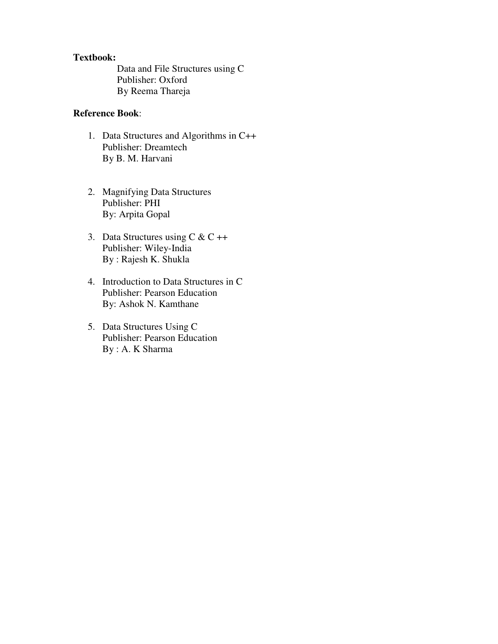Data and File Structures using C Publisher: Oxford By Reema Thareja

## **Reference Book**:

- 1. Data Structures and Algorithms in C++ Publisher: Dreamtech By B. M. Harvani
- 2. Magnifying Data Structures Publisher: PHI By: Arpita Gopal
- 3. Data Structures using  $C & C ++$ Publisher: Wiley-India By : Rajesh K. Shukla
- 4. Introduction to Data Structures in C Publisher: Pearson Education By: Ashok N. Kamthane
- 5. Data Structures Using C Publisher: Pearson Education By : A. K Sharma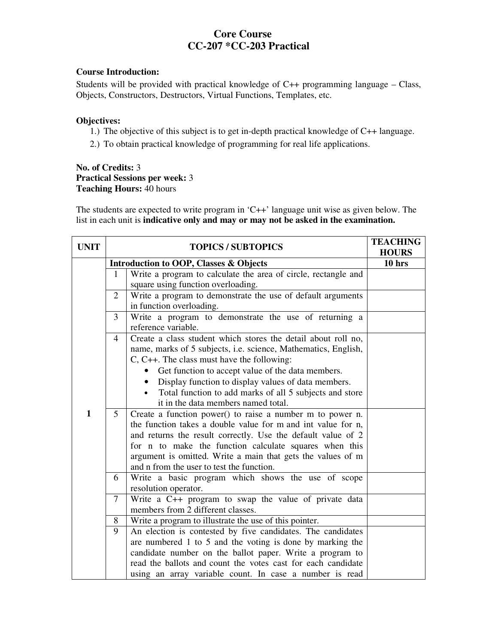# **Core Course CC-207 \*CC-203 Practical**

#### **Course Introduction:**

Students will be provided with practical knowledge of C++ programming language – Class, Objects, Constructors, Destructors, Virtual Functions, Templates, etc.

#### **Objectives:**

- 1.) The objective of this subject is to get in-depth practical knowledge of C++ language.
- 2.) To obtain practical knowledge of programming for real life applications.

#### **No. of Credits:** 3 **Practical Sessions per week:** 3 **Teaching Hours:** 40 hours

The students are expected to write program in 'C++' language unit wise as given below. The list in each unit is **indicative only and may or may not be asked in the examination.** 

| <b>UNIT</b>  | <b>TOPICS / SUBTOPICS</b> |                                                                                                                                                                                                                                                                                                                                                                                                                                                                                                                                                                                            | <b>TEACHING</b><br><b>HOURS</b> |
|--------------|---------------------------|--------------------------------------------------------------------------------------------------------------------------------------------------------------------------------------------------------------------------------------------------------------------------------------------------------------------------------------------------------------------------------------------------------------------------------------------------------------------------------------------------------------------------------------------------------------------------------------------|---------------------------------|
|              |                           | <b>Introduction to OOP, Classes &amp; Objects</b>                                                                                                                                                                                                                                                                                                                                                                                                                                                                                                                                          | $10$ hrs                        |
|              | $\mathbf{1}$              | Write a program to calculate the area of circle, rectangle and<br>square using function overloading.                                                                                                                                                                                                                                                                                                                                                                                                                                                                                       |                                 |
|              | 2                         | Write a program to demonstrate the use of default arguments<br>in function overloading.                                                                                                                                                                                                                                                                                                                                                                                                                                                                                                    |                                 |
|              | 3                         | Write a program to demonstrate the use of returning a<br>reference variable.                                                                                                                                                                                                                                                                                                                                                                                                                                                                                                               |                                 |
| $\mathbf{1}$ | $\overline{4}$<br>5       | Create a class student which stores the detail about roll no,<br>name, marks of 5 subjects, i.e. science, Mathematics, English,<br>$C, C++.$ The class must have the following:<br>Get function to accept value of the data members.<br>Display function to display values of data members.<br>Total function to add marks of all 5 subjects and store<br>it in the data members named total.<br>Create a function power() to raise a number m to power n.<br>the function takes a double value for m and int value for n,<br>and returns the result correctly. Use the default value of 2 |                                 |
|              |                           | for n to make the function calculate squares when this<br>argument is omitted. Write a main that gets the values of m<br>and n from the user to test the function.                                                                                                                                                                                                                                                                                                                                                                                                                         |                                 |
|              | 6                         | Write a basic program which shows the use of scope<br>resolution operator.                                                                                                                                                                                                                                                                                                                                                                                                                                                                                                                 |                                 |
|              | 7                         | Write a C++ program to swap the value of private data<br>members from 2 different classes.                                                                                                                                                                                                                                                                                                                                                                                                                                                                                                 |                                 |
|              | 8                         | Write a program to illustrate the use of this pointer.                                                                                                                                                                                                                                                                                                                                                                                                                                                                                                                                     |                                 |
|              | 9                         | An election is contested by five candidates. The candidates                                                                                                                                                                                                                                                                                                                                                                                                                                                                                                                                |                                 |
|              |                           | are numbered 1 to 5 and the voting is done by marking the                                                                                                                                                                                                                                                                                                                                                                                                                                                                                                                                  |                                 |
|              |                           | candidate number on the ballot paper. Write a program to                                                                                                                                                                                                                                                                                                                                                                                                                                                                                                                                   |                                 |
|              |                           | read the ballots and count the votes cast for each candidate                                                                                                                                                                                                                                                                                                                                                                                                                                                                                                                               |                                 |
|              |                           | using an array variable count. In case a number is read                                                                                                                                                                                                                                                                                                                                                                                                                                                                                                                                    |                                 |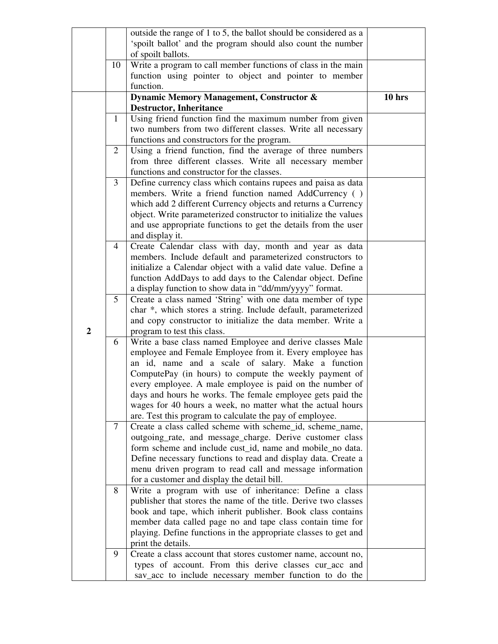|                |              | outside the range of 1 to 5, the ballot should be considered as a                                                         |          |
|----------------|--------------|---------------------------------------------------------------------------------------------------------------------------|----------|
|                |              | 'spoilt ballot' and the program should also count the number                                                              |          |
|                |              | of spoilt ballots.                                                                                                        |          |
|                | 10           | Write a program to call member functions of class in the main                                                             |          |
|                |              | function using pointer to object and pointer to member                                                                    |          |
|                |              | function.                                                                                                                 |          |
|                |              | Dynamic Memory Management, Constructor &                                                                                  | $10$ hrs |
|                |              | <b>Destructor, Inheritance</b>                                                                                            |          |
|                | $\mathbf{1}$ | Using friend function find the maximum number from given                                                                  |          |
|                |              | two numbers from two different classes. Write all necessary                                                               |          |
|                |              | functions and constructors for the program.                                                                               |          |
|                | 2            | Using a friend function, find the average of three numbers                                                                |          |
|                |              | from three different classes. Write all necessary member                                                                  |          |
|                |              | functions and constructor for the classes.                                                                                |          |
|                | 3            | Define currency class which contains rupees and paisa as data                                                             |          |
|                |              | members. Write a friend function named AddCurrency ()                                                                     |          |
|                |              | which add 2 different Currency objects and returns a Currency                                                             |          |
|                |              | object. Write parameterized constructor to initialize the values                                                          |          |
|                |              | and use appropriate functions to get the details from the user                                                            |          |
|                |              | and display it.                                                                                                           |          |
|                | 4            | Create Calendar class with day, month and year as data                                                                    |          |
|                |              | members. Include default and parameterized constructors to                                                                |          |
|                |              | initialize a Calendar object with a valid date value. Define a                                                            |          |
|                |              | function AddDays to add days to the Calendar object. Define                                                               |          |
|                |              | a display function to show data in "dd/mm/yyyy" format.                                                                   |          |
|                | 5            | Create a class named 'String' with one data member of type                                                                |          |
|                |              | char *, which stores a string. Include default, parameterized                                                             |          |
|                |              | and copy constructor to initialize the data member. Write a                                                               |          |
| $\overline{2}$ |              | program to test this class.                                                                                               |          |
|                | 6            | Write a base class named Employee and derive classes Male                                                                 |          |
|                |              | employee and Female Employee from it. Every employee has                                                                  |          |
|                |              | an id, name and a scale of salary. Make a function                                                                        |          |
|                |              | ComputePay (in hours) to compute the weekly payment of                                                                    |          |
|                |              | every employee. A male employee is paid on the number of                                                                  |          |
|                |              | days and hours he works. The female employee gets paid the                                                                |          |
|                |              | wages for 40 hours a week, no matter what the actual hours                                                                |          |
|                |              | are. Test this program to calculate the pay of employee.                                                                  |          |
|                | $\tau$       | Create a class called scheme with scheme_id, scheme_name,                                                                 |          |
|                |              | outgoing_rate, and message_charge. Derive customer class                                                                  |          |
|                |              | form scheme and include cust_id, name and mobile_no data.                                                                 |          |
|                |              | Define necessary functions to read and display data. Create a<br>menu driven program to read call and message information |          |
|                |              | for a customer and display the detail bill.                                                                               |          |
|                | 8            | Write a program with use of inheritance: Define a class                                                                   |          |
|                |              | publisher that stores the name of the title. Derive two classes                                                           |          |
|                |              | book and tape, which inherit publisher. Book class contains                                                               |          |
|                |              | member data called page no and tape class contain time for                                                                |          |
|                |              | playing. Define functions in the appropriate classes to get and                                                           |          |
|                |              | print the details.                                                                                                        |          |
|                | 9            | Create a class account that stores customer name, account no,                                                             |          |
|                |              | types of account. From this derive classes cur_acc and                                                                    |          |
|                |              | sav_acc to include necessary member function to do the                                                                    |          |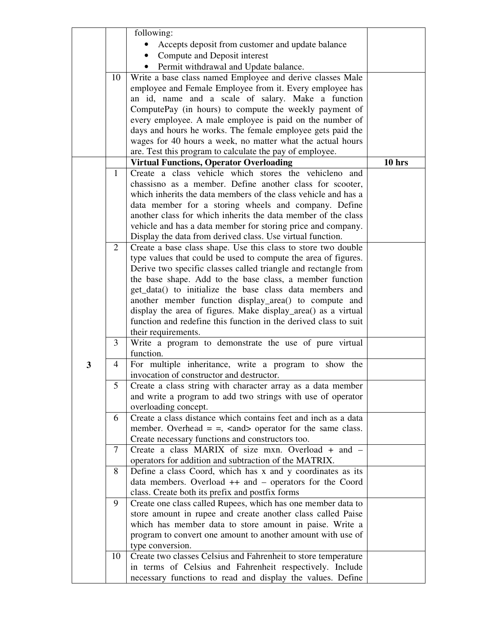|   |                | following:                                                                                                            |          |
|---|----------------|-----------------------------------------------------------------------------------------------------------------------|----------|
|   |                | Accepts deposit from customer and update balance                                                                      |          |
|   |                | Compute and Deposit interest                                                                                          |          |
|   |                | Permit withdrawal and Update balance.                                                                                 |          |
|   | 10             | Write a base class named Employee and derive classes Male                                                             |          |
|   |                | employee and Female Employee from it. Every employee has                                                              |          |
|   |                | an id, name and a scale of salary. Make a function                                                                    |          |
|   |                | ComputePay (in hours) to compute the weekly payment of                                                                |          |
|   |                | every employee. A male employee is paid on the number of                                                              |          |
|   |                | days and hours he works. The female employee gets paid the                                                            |          |
|   |                | wages for 40 hours a week, no matter what the actual hours                                                            |          |
|   |                | are. Test this program to calculate the pay of employee.                                                              |          |
|   |                | <b>Virtual Functions, Operator Overloading</b>                                                                        | $10$ hrs |
|   | 1              | Create a class vehicle which stores the vehicleno and                                                                 |          |
|   |                | chassisno as a member. Define another class for scooter,                                                              |          |
|   |                | which inherits the data members of the class vehicle and has a                                                        |          |
|   |                | data member for a storing wheels and company. Define<br>another class for which inherits the data member of the class |          |
|   |                | vehicle and has a data member for storing price and company.                                                          |          |
|   |                | Display the data from derived class. Use virtual function.                                                            |          |
|   | 2              | Create a base class shape. Use this class to store two double                                                         |          |
|   |                | type values that could be used to compute the area of figures.                                                        |          |
|   |                | Derive two specific classes called triangle and rectangle from                                                        |          |
|   |                | the base shape. Add to the base class, a member function                                                              |          |
|   |                | get_data() to initialize the base class data members and                                                              |          |
|   |                | another member function display_area() to compute and                                                                 |          |
|   |                | display the area of figures. Make display_area() as a virtual                                                         |          |
|   |                | function and redefine this function in the derived class to suit                                                      |          |
|   |                | their requirements.                                                                                                   |          |
|   | 3              | Write a program to demonstrate the use of pure virtual<br>function.                                                   |          |
| 3 | $\overline{4}$ | For multiple inheritance, write a program to show the                                                                 |          |
|   |                | invocation of constructor and destructor.                                                                             |          |
|   | 5              | Create a class string with character array as a data member                                                           |          |
|   |                | and write a program to add two strings with use of operator                                                           |          |
|   |                | overloading concept.                                                                                                  |          |
|   | 6              | Create a class distance which contains feet and inch as a data                                                        |          |
|   |                | member. Overhead $=$ $=$ , $\lt$ and $\gt$ operator for the same class.                                               |          |
|   |                | Create necessary functions and constructors too.                                                                      |          |
|   | $\overline{7}$ | Create a class MARIX of size mxn. Overload $\overline{+}$ and $\overline{-}$                                          |          |
|   |                | operators for addition and subtraction of the MATRIX.<br>Define a class Coord, which has x and y coordinates as its   |          |
|   | 8              | data members. Overload ++ and - operators for the Coord                                                               |          |
|   |                | class. Create both its prefix and postfix forms                                                                       |          |
|   | 9              | Create one class called Rupees, which has one member data to                                                          |          |
|   |                | store amount in rupee and create another class called Paise                                                           |          |
|   |                | which has member data to store amount in paise. Write a                                                               |          |
|   |                | program to convert one amount to another amount with use of                                                           |          |
|   |                | type conversion.                                                                                                      |          |
|   | 10             | Create two classes Celsius and Fahrenheit to store temperature                                                        |          |
|   |                | in terms of Celsius and Fahrenheit respectively. Include                                                              |          |
|   |                | necessary functions to read and display the values. Define                                                            |          |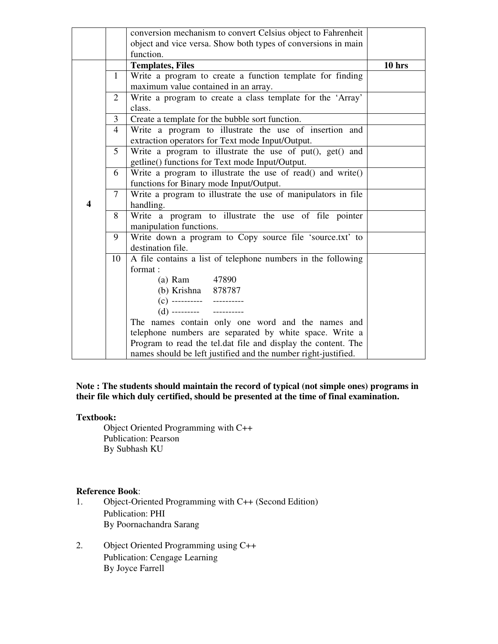|   |                | conversion mechanism to convert Celsius object to Fahrenheit   |          |
|---|----------------|----------------------------------------------------------------|----------|
|   |                |                                                                |          |
|   |                | object and vice versa. Show both types of conversions in main  |          |
|   |                | function.                                                      |          |
|   |                | <b>Templates, Files</b>                                        | $10$ hrs |
|   | 1              | Write a program to create a function template for finding      |          |
|   |                | maximum value contained in an array.                           |          |
|   | 2              | Write a program to create a class template for the 'Array'     |          |
|   |                | class.                                                         |          |
|   | $\overline{3}$ | Create a template for the bubble sort function.                |          |
|   | 4              | Write a program to illustrate the use of insertion and         |          |
|   |                | extraction operators for Text mode Input/Output.               |          |
|   | 5              | Write a program to illustrate the use of put(), get() and      |          |
|   |                | getline() functions for Text mode Input/Output.                |          |
|   | 6              | Write a program to illustrate the use of read() and write()    |          |
|   |                | functions for Binary mode Input/Output.                        |          |
|   | 7              | Write a program to illustrate the use of manipulators in file  |          |
| 4 |                | handling.                                                      |          |
|   | 8              | Write a program to illustrate the use of file pointer          |          |
|   |                | manipulation functions.                                        |          |
|   | 9              | Write down a program to Copy source file 'source.txt' to       |          |
|   |                | destination file.                                              |          |
|   | 10             | A file contains a list of telephone numbers in the following   |          |
|   |                | format:                                                        |          |
|   |                | (a) Ram 47890                                                  |          |
|   |                | (b) Krishna 878787                                             |          |
|   |                | $(c)$ ---------- ----------                                    |          |
|   |                | (d) --------- ------------                                     |          |
|   |                | The names contain only one word and the names and              |          |
|   |                | telephone numbers are separated by white space. Write a        |          |
|   |                | Program to read the tel.dat file and display the content. The  |          |
|   |                | names should be left justified and the number right-justified. |          |

#### **Note : The students should maintain the record of typical (not simple ones) programs in their file which duly certified, should be presented at the time of final examination.**

#### **Textbook:**

Object Oriented Programming with C++ Publication: Pearson By Subhash KU

- **Reference Book**: Object-Oriented Programming with C++ (Second Edition) Publication: PHI By Poornachandra Sarang
- 2. Object Oriented Programming using C++ Publication: Cengage Learning By Joyce Farrell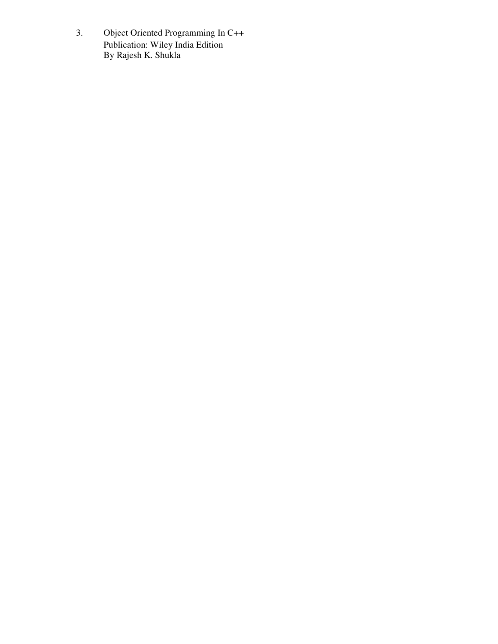3. Object Oriented Programming In C++ Publication: Wiley India Edition By Rajesh K. Shukla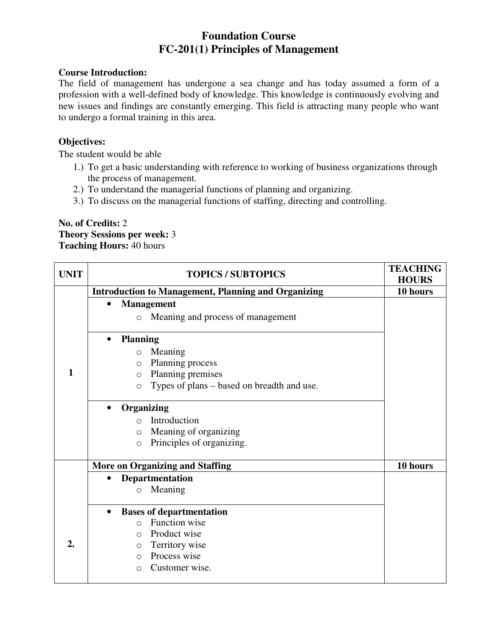# **Foundation Course FC-201(1) Principles of Management**

## **Course Introduction:**

The field of management has undergone a sea change and has today assumed a form of a profession with a well-defined body of knowledge. This knowledge is continuously evolving and new issues and findings are constantly emerging. This field is attracting many people who want to undergo a formal training in this area.

# **Objectives:**

The student would be able

- 1.) To get a basic understanding with reference to working of business organizations through the process of management.
- 2.) To understand the managerial functions of planning and organizing.
- 3.) To discuss on the managerial functions of staffing, directing and controlling.

#### **No. of Credits:** 2 **Theory Sessions per week:** 3 **Teaching Hours:** 40 hours

| <b>UNIT</b> |           | <b>TOPICS / SUBTOPICS</b>                                  | <b>TEACHING</b><br><b>HOURS</b> |
|-------------|-----------|------------------------------------------------------------|---------------------------------|
|             |           | <b>Introduction to Management, Planning and Organizing</b> | 10 hours                        |
|             | $\bullet$ | <b>Management</b>                                          |                                 |
|             |           | Meaning and process of management<br>$\circ$               |                                 |
|             | $\bullet$ | <b>Planning</b>                                            |                                 |
|             |           | Meaning<br>$\circ$                                         |                                 |
|             |           | Planning process<br>$\circ$                                |                                 |
| 1           |           | Planning premises<br>$\circ$                               |                                 |
|             |           | Types of plans - based on breadth and use.<br>$\circ$      |                                 |
|             | $\bullet$ | Organizing                                                 |                                 |
|             |           | Introduction<br>$\bigcap$                                  |                                 |
|             |           | Meaning of organizing<br>$\circ$                           |                                 |
|             |           | Principles of organizing.<br>$\circ$                       |                                 |
|             |           | <b>More on Organizing and Staffing</b>                     | 10 hours                        |
|             | $\bullet$ | <b>Departmentation</b>                                     |                                 |
|             |           | Meaning<br>$\circ$                                         |                                 |
|             | $\bullet$ | <b>Bases of departmentation</b>                            |                                 |
|             |           | Function wise<br>$\bigcirc$                                |                                 |
|             |           | Product wise<br>$\Omega$                                   |                                 |
| 2.          |           | Territory wise<br>$\circ$                                  |                                 |
|             |           | Process wise<br>$\bigcirc$                                 |                                 |
|             |           | Customer wise.<br>$\Omega$                                 |                                 |
|             |           |                                                            |                                 |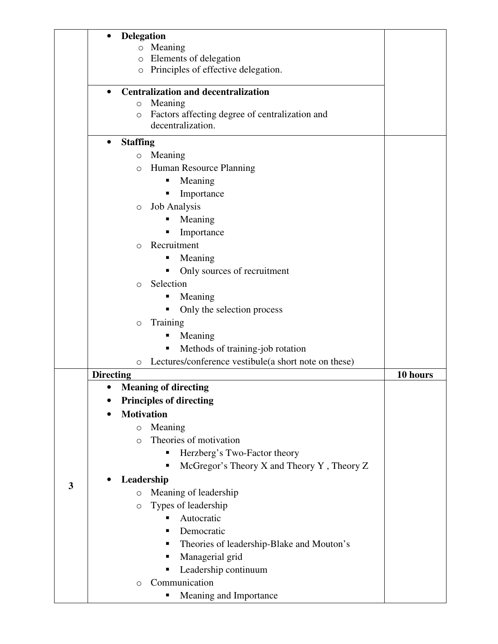|   | <b>Delegation</b>                                               |          |
|---|-----------------------------------------------------------------|----------|
|   | Meaning<br>$\circ$<br>Elements of delegation<br>$\circ$         |          |
|   | Principles of effective delegation.<br>$\circ$                  |          |
|   |                                                                 |          |
|   | <b>Centralization and decentralization</b>                      |          |
|   | Meaning<br>$\circ$                                              |          |
|   | Factors affecting degree of centralization and<br>O             |          |
|   | decentralization.                                               |          |
|   | <b>Staffing</b><br>$\bullet$                                    |          |
|   | Meaning<br>$\circ$                                              |          |
|   | Human Resource Planning<br>$\circ$                              |          |
|   | Meaning<br>ш                                                    |          |
|   | Importance                                                      |          |
|   | <b>Job Analysis</b><br>$\circ$                                  |          |
|   | Meaning                                                         |          |
|   | Importance                                                      |          |
|   | Recruitment<br>$\bigcirc$                                       |          |
|   | Meaning                                                         |          |
|   | Only sources of recruitment                                     |          |
|   | Selection<br>$\circ$                                            |          |
|   | Meaning                                                         |          |
|   | Only the selection process                                      |          |
|   | Training<br>$\circ$                                             |          |
|   | Meaning<br>п                                                    |          |
|   | Methods of training-job rotation<br>п                           |          |
|   | Lectures/conference vestibule(a short note on these)<br>$\circ$ |          |
|   | <b>Directing</b>                                                | 10 hours |
|   | <b>Meaning of directing</b>                                     |          |
|   | <b>Principles of directing</b>                                  |          |
|   | <b>Motivation</b>                                               |          |
|   | Meaning<br>$\circ$                                              |          |
|   | Theories of motivation<br>$\Omega$                              |          |
|   | Herzberg's Two-Factor theory<br>Ξ                               |          |
|   | McGregor's Theory X and Theory Y, Theory Z                      |          |
|   | Leadership                                                      |          |
| 3 | Meaning of leadership<br>$\circ$                                |          |
|   | Types of leadership<br>$\circ$                                  |          |
|   | Autocratic<br>٠                                                 |          |
|   | Democratic<br>п                                                 |          |
|   | Theories of leadership-Blake and Mouton's<br>٠                  |          |
|   | Managerial grid<br>п                                            |          |
|   | Leadership continuum<br>п                                       |          |
|   | Communication<br>$\circ$                                        |          |
|   | Meaning and Importance<br>п                                     |          |
|   |                                                                 |          |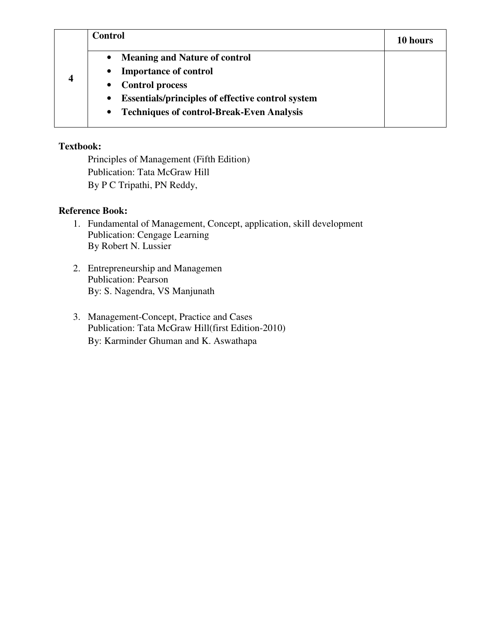| 4 | <b>Control</b>                                                                                                                         | 10 hours |
|---|----------------------------------------------------------------------------------------------------------------------------------------|----------|
|   | <b>Meaning and Nature of control</b><br>$\bullet$<br><b>Importance of control</b><br>$\bullet$                                         |          |
|   | <b>Control process</b><br>$\bullet$                                                                                                    |          |
|   | <b>Essentials/principles of effective control system</b><br>$\bullet$<br><b>Techniques of control-Break-Even Analysis</b><br>$\bullet$ |          |

Principles of Management (Fifth Edition) Publication: Tata McGraw Hill By P C Tripathi, PN Reddy,

# **Reference Book:**

- 1. Fundamental of Management, Concept, application, skill development Publication: Cengage Learning By Robert N. Lussier
- 2. Entrepreneurship and Managemen Publication: Pearson By: S. Nagendra, VS Manjunath
- 3. Management-Concept, Practice and Cases Publication: Tata McGraw Hill(first Edition-2010) By: Karminder Ghuman and K. Aswathapa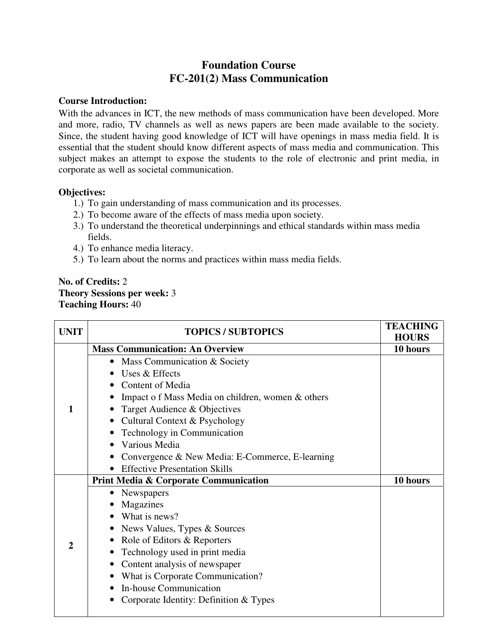# **Foundation Course FC-201(2) Mass Communication**

#### **Course Introduction:**

With the advances in ICT, the new methods of mass communication have been developed. More and more, radio, TV channels as well as news papers are been made available to the society. Since, the student having good knowledge of ICT will have openings in mass media field. It is essential that the student should know different aspects of mass media and communication. This subject makes an attempt to expose the students to the role of electronic and print media, in corporate as well as societal communication.

## **Objectives:**

- 1.) To gain understanding of mass communication and its processes.
- 2.) To become aware of the effects of mass media upon society.
- 3.) To understand the theoretical underpinnings and ethical standards within mass media fields.
- 4.) To enhance media literacy.
- 5.) To learn about the norms and practices within mass media fields.

# **No. of Credits:** 2 **Theory Sessions per week:** 3 **Teaching Hours:** 40

| <b>UNIT</b>  | <b>TOPICS / SUBTOPICS</b>                        | <b>TEACHING</b><br><b>HOURS</b> |
|--------------|--------------------------------------------------|---------------------------------|
|              | <b>Mass Communication: An Overview</b>           | 10 hours                        |
|              | Mass Communication & Society<br>$\bullet$        |                                 |
|              | Uses & Effects                                   |                                 |
|              | Content of Media                                 |                                 |
|              | Impact of Mass Media on children, women & others |                                 |
| 1            | Target Audience & Objectives                     |                                 |
|              | Cultural Context & Psychology                    |                                 |
|              | Technology in Communication                      |                                 |
|              | Various Media                                    |                                 |
|              | Convergence & New Media: E-Commerce, E-learning  |                                 |
|              | <b>Effective Presentation Skills</b>             |                                 |
|              | <b>Print Media &amp; Corporate Communication</b> | 10 hours                        |
|              | Newspapers<br>$\bullet$                          |                                 |
|              | Magazines                                        |                                 |
|              | What is news?                                    |                                 |
|              | News Values, Types & Sources                     |                                 |
| $\mathbf{2}$ | Role of Editors & Reporters                      |                                 |
|              | Technology used in print media                   |                                 |
|              | Content analysis of newspaper<br>٠               |                                 |
|              | What is Corporate Communication?                 |                                 |
|              | In-house Communication                           |                                 |
|              | Corporate Identity: Definition & Types           |                                 |
|              |                                                  |                                 |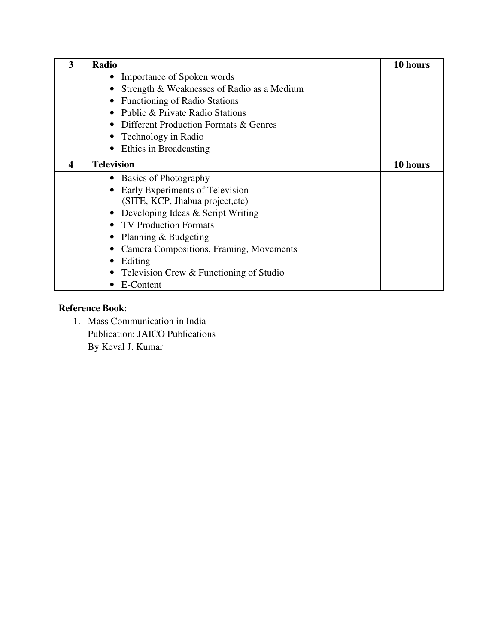| 3                | Radio                                      | 10 hours |
|------------------|--------------------------------------------|----------|
|                  | Importance of Spoken words                 |          |
|                  | Strength & Weaknesses of Radio as a Medium |          |
|                  | <b>Functioning of Radio Stations</b>       |          |
|                  | Public & Private Radio Stations            |          |
|                  | Different Production Formats & Genres      |          |
|                  | • Technology in Radio                      |          |
|                  | Ethics in Broadcasting                     |          |
| $\boldsymbol{4}$ | <b>Television</b>                          | 10 hours |
|                  | • Basics of Photography                    |          |
|                  | Early Experiments of Television            |          |
|                  | (SITE, KCP, Jhabua project, etc)           |          |
|                  | • Developing Ideas $&$ Script Writing      |          |
|                  | • TV Production Formats                    |          |
|                  | Planning & Budgeting                       |          |
|                  | Camera Compositions, Framing, Movements    |          |
|                  | Editing                                    |          |
|                  | Television Crew & Functioning of Studio    |          |
|                  | E-Content                                  |          |

# **Reference Book**:

1. Mass Communication in India Publication: JAICO Publications By Keval J. Kumar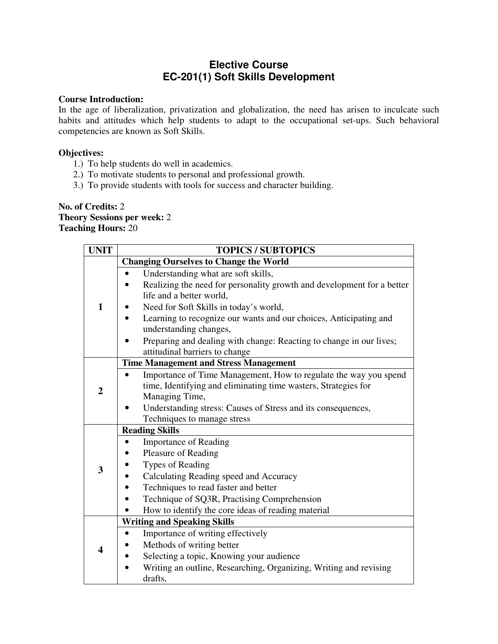# **Elective Course EC-201(1) Soft Skills Development**

#### **Course Introduction:**

In the age of liberalization, privatization and globalization, the need has arisen to inculcate such habits and attitudes which help students to adapt to the occupational set-ups. Such behavioral competencies are known as Soft Skills.

#### **Objectives:**

- 1.) To help students do well in academics.
- 2.) To motivate students to personal and professional growth.
- 3.) To provide students with tools for success and character building.

**No. of Credits:** 2 **Theory Sessions per week:** 2 **Teaching Hours:** 20

| <b>UNIT</b>    | <b>TOPICS / SUBTOPICS</b>                                              |  |  |
|----------------|------------------------------------------------------------------------|--|--|
|                | <b>Changing Ourselves to Change the World</b>                          |  |  |
|                | Understanding what are soft skills,<br>$\bullet$                       |  |  |
|                | Realizing the need for personality growth and development for a better |  |  |
|                | life and a better world,                                               |  |  |
| 1              | Need for Soft Skills in today's world,                                 |  |  |
|                | Learning to recognize our wants and our choices, Anticipating and      |  |  |
|                | understanding changes,                                                 |  |  |
|                | Preparing and dealing with change: Reacting to change in our lives;    |  |  |
|                | attitudinal barriers to change                                         |  |  |
|                | <b>Time Management and Stress Management</b>                           |  |  |
|                | Importance of Time Management, How to regulate the way you spend       |  |  |
| $\overline{2}$ | time, Identifying and eliminating time wasters, Strategies for         |  |  |
|                | Managing Time,                                                         |  |  |
|                | Understanding stress: Causes of Stress and its consequences,           |  |  |
|                | Techniques to manage stress                                            |  |  |
|                | <b>Reading Skills</b>                                                  |  |  |
|                | <b>Importance of Reading</b><br>$\bullet$                              |  |  |
|                | Pleasure of Reading                                                    |  |  |
| 3              | Types of Reading                                                       |  |  |
|                | Calculating Reading speed and Accuracy                                 |  |  |
|                | Techniques to read faster and better                                   |  |  |
|                | Technique of SQ3R, Practising Comprehension                            |  |  |
|                | How to identify the core ideas of reading material                     |  |  |
|                | <b>Writing and Speaking Skills</b>                                     |  |  |
|                | Importance of writing effectively<br>$\bullet$                         |  |  |
| 4              | Methods of writing better                                              |  |  |
|                | Selecting a topic, Knowing your audience                               |  |  |
|                | Writing an outline, Researching, Organizing, Writing and revising      |  |  |
|                | drafts,                                                                |  |  |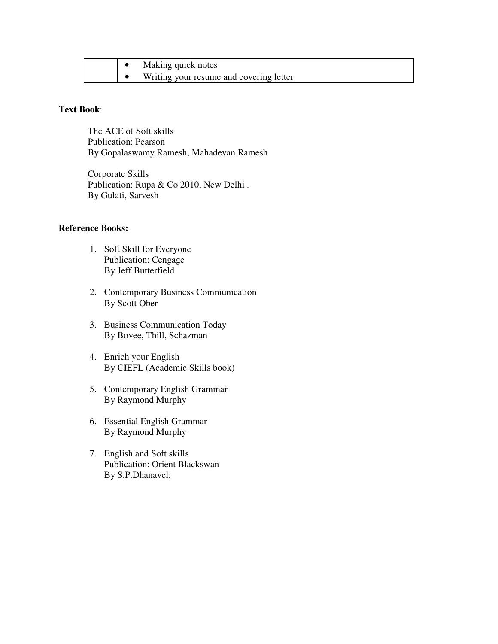|  | Making quick notes                      |
|--|-----------------------------------------|
|  | Writing your resume and covering letter |

#### **Text Book**:

The ACE of Soft skills Publication: Pearson By Gopalaswamy Ramesh, Mahadevan Ramesh

Corporate Skills Publication: Rupa & Co 2010, New Delhi. By Gulati, Sarvesh

#### **Reference Books:**

- 1. Soft Skill for Everyone Publication: Cengage By Jeff Butterfield
- 2. Contemporary Business Communication By Scott Ober
- 3. Business Communication Today By Bovee, Thill, Schazman
- 4. Enrich your English By CIEFL (Academic Skills book)
- 5. Contemporary English Grammar By Raymond Murphy
- 6. Essential English Grammar By Raymond Murphy
- 7. English and Soft skills Publication: Orient Blackswan By S.P.Dhanavel: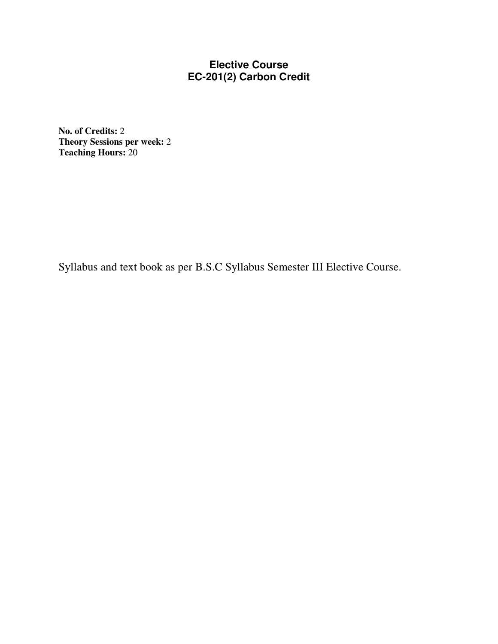# **Elective Course EC-201(2) Carbon Credit**

**No. of Credits:** 2 **Theory Sessions per week:** 2 **Teaching Hours:** 20

Syllabus and text book as per B.S.C Syllabus Semester III Elective Course.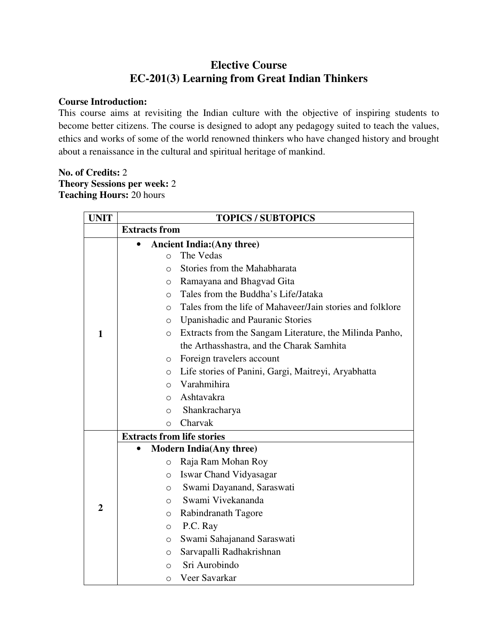# **Elective Course EC-201(3) Learning from Great Indian Thinkers**

### **Course Introduction:**

This course aims at revisiting the Indian culture with the objective of inspiring students to become better citizens. The course is designed to adopt any pedagogy suited to teach the values, ethics and works of some of the world renowned thinkers who have changed history and brought about a renaissance in the cultural and spiritual heritage of mankind.

# **No. of Credits:** 2 **Theory Sessions per week:** 2 **Teaching Hours:** 20 hours

| <b>UNIT</b>    | <b>TOPICS / SUBTOPICS</b>         |                                                           |  |
|----------------|-----------------------------------|-----------------------------------------------------------|--|
|                | <b>Extracts from</b>              |                                                           |  |
|                |                                   | <b>Ancient India: (Any three)</b>                         |  |
|                | $\circ$                           | The Vedas                                                 |  |
|                | O                                 | Stories from the Mahabharata                              |  |
|                | $\circ$                           | Ramayana and Bhagvad Gita                                 |  |
|                | $\Omega$                          | Tales from the Buddha's Life/Jataka                       |  |
|                | $\Omega$                          | Tales from the life of Mahaveer/Jain stories and folklore |  |
|                | $\circ$                           | Upanishadic and Pauranic Stories                          |  |
| 1              | $\circ$                           | Extracts from the Sangam Literature, the Milinda Panho,   |  |
|                |                                   | the Arthasshastra, and the Charak Samhita                 |  |
|                | O                                 | Foreign travelers account                                 |  |
|                | $\circ$                           | Life stories of Panini, Gargi, Maitreyi, Aryabhatta       |  |
|                | $\Omega$                          | Varahmihira                                               |  |
|                | $\Omega$                          | Ashtavakra                                                |  |
|                | $\circ$                           | Shankracharya                                             |  |
|                | $\bigcirc$                        | Charvak                                                   |  |
|                | <b>Extracts from life stories</b> |                                                           |  |
|                | $\bullet$                         | <b>Modern India(Any three)</b>                            |  |
|                | $\circ$                           | Raja Ram Mohan Roy                                        |  |
|                | $\Omega$                          | <b>Iswar Chand Vidyasagar</b>                             |  |
|                | $\Omega$                          | Swami Dayanand, Saraswati                                 |  |
| $\overline{2}$ | $\Omega$                          | Swami Vivekananda                                         |  |
|                | $\circ$                           | Rabindranath Tagore                                       |  |
|                | $\circ$                           | P.C. Ray                                                  |  |
|                | $\circ$                           | Swami Sahajanand Saraswati                                |  |
|                | $\circ$                           | Sarvapalli Radhakrishnan                                  |  |
|                | $\bigcirc$                        | Sri Aurobindo                                             |  |
|                | $\Omega$                          | Veer Savarkar                                             |  |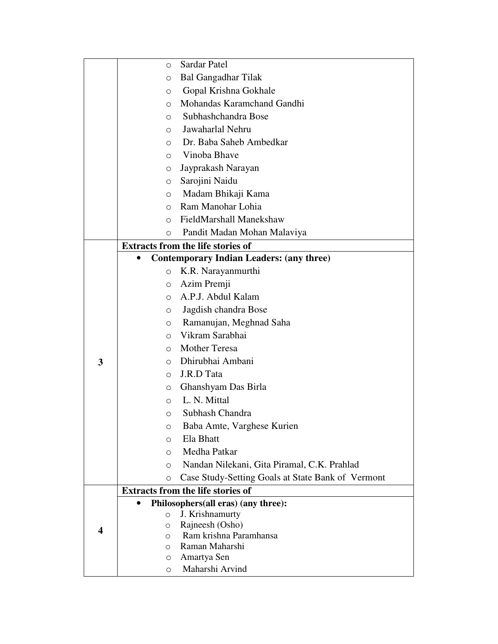|   | $\circ$      | Sardar Patel                                      |
|---|--------------|---------------------------------------------------|
|   | O            | <b>Bal Gangadhar Tilak</b>                        |
|   | O            | Gopal Krishna Gokhale                             |
|   | $\circ$      | Mohandas Karamchand Gandhi                        |
|   | $\circ$      | Subhashchandra Bose                               |
|   | $\circ$      | Jawaharlal Nehru                                  |
|   | $\circ$      | Dr. Baba Saheb Ambedkar                           |
|   | O            | Vinoba Bhave                                      |
|   | $\circ$      | Jayprakash Narayan                                |
|   | O            | Sarojini Naidu                                    |
|   | O            | Madam Bhikaji Kama                                |
|   | $\circ$      | Ram Manohar Lohia                                 |
|   | $\circ$      | FieldMarshall Manekshaw                           |
|   | $\circ$      | Pandit Madan Mohan Malaviya                       |
|   |              | <b>Extracts from the life stories of</b>          |
|   |              | <b>Contemporary Indian Leaders: (any three)</b>   |
|   | $\circ$      | K.R. Narayanmurthi                                |
|   | $\circ$      | Azim Premji                                       |
|   | $\circ$      | A.P.J. Abdul Kalam                                |
|   | O            | Jagdish chandra Bose                              |
|   | $\circ$      | Ramanujan, Meghnad Saha                           |
|   | $\circ$      | Vikram Sarabhai                                   |
|   | $\circ$      | <b>Mother Teresa</b>                              |
| 3 | $\circ$      | Dhirubhai Ambani                                  |
|   | $\circ$      | J.R.D Tata                                        |
|   | O            | Ghanshyam Das Birla                               |
|   | $\circ$      | L. N. Mittal                                      |
|   | O            | Subhash Chandra                                   |
|   | О            | Baba Amte, Varghese Kurien                        |
|   | $\circ$      | Ela Bhatt                                         |
|   | $\circ$      | Medha Patkar                                      |
|   | O            | Nandan Nilekani, Gita Piramal, C.K. Prahlad       |
|   | $\circ$      | Case Study-Setting Goals at State Bank of Vermont |
|   |              | <b>Extracts from the life stories of</b>          |
|   |              | Philosophers(all eras) (any three):               |
|   | $\circ$      | J. Krishnamurty                                   |
| 4 | O<br>$\circ$ | Rajneesh (Osho)<br>Ram krishna Paramhansa         |
|   | $\circ$      | Raman Maharshi                                    |
|   | O            | Amartya Sen                                       |
|   | $\circ$      | Maharshi Arvind                                   |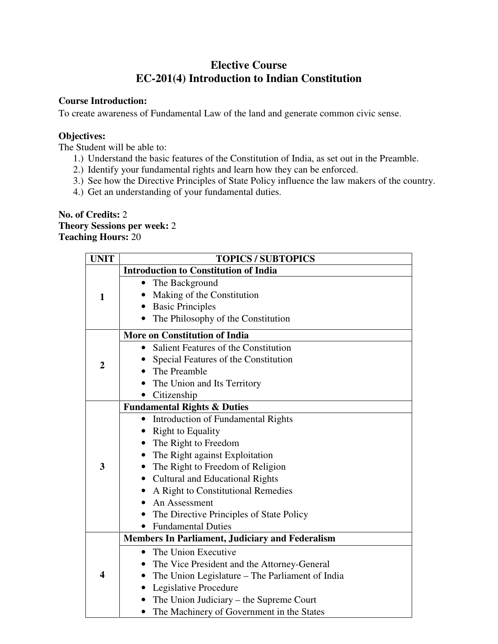# **Elective Course EC-201(4) Introduction to Indian Constitution**

# **Course Introduction:**

To create awareness of Fundamental Law of the land and generate common civic sense.

# **Objectives:**

The Student will be able to:

- 1.) Understand the basic features of the Constitution of India, as set out in the Preamble.
- 2.) Identify your fundamental rights and learn how they can be enforced.
- 3.) See how the Directive Principles of State Policy influence the law makers of the country.
- 4.) Get an understanding of your fundamental duties.

**No. of Credits:** 2 **Theory Sessions per week:** 2 **Teaching Hours:** 20

| <b>UNIT</b>      | <b>TOPICS / SUBTOPICS</b>                              |  |  |
|------------------|--------------------------------------------------------|--|--|
|                  | <b>Introduction to Constitution of India</b>           |  |  |
|                  | The Background                                         |  |  |
| $\mathbf{1}$     | Making of the Constitution                             |  |  |
|                  | <b>Basic Principles</b>                                |  |  |
|                  | The Philosophy of the Constitution                     |  |  |
|                  | <b>More on Constitution of India</b>                   |  |  |
|                  | Salient Features of the Constitution                   |  |  |
| $\boldsymbol{2}$ | Special Features of the Constitution                   |  |  |
|                  | The Preamble                                           |  |  |
|                  | The Union and Its Territory                            |  |  |
|                  | Citizenship                                            |  |  |
|                  | <b>Fundamental Rights &amp; Duties</b>                 |  |  |
|                  | <b>Introduction of Fundamental Rights</b><br>٠         |  |  |
|                  | <b>Right to Equality</b><br>$\bullet$                  |  |  |
|                  | The Right to Freedom                                   |  |  |
|                  | The Right against Exploitation                         |  |  |
| 3                | The Right to Freedom of Religion<br>$\bullet$          |  |  |
|                  | <b>Cultural and Educational Rights</b><br>$\bullet$    |  |  |
|                  | A Right to Constitutional Remedies                     |  |  |
|                  | An Assessment                                          |  |  |
|                  | The Directive Principles of State Policy<br>$\bullet$  |  |  |
|                  | <b>Fundamental Duties</b>                              |  |  |
|                  | <b>Members In Parliament, Judiciary and Federalism</b> |  |  |
|                  | The Union Executive<br>$\bullet$                       |  |  |
|                  | The Vice President and the Attorney-General            |  |  |
| 4                | The Union Legislature – The Parliament of India        |  |  |
|                  | Legislative Procedure                                  |  |  |
|                  | The Union Judiciary - the Supreme Court                |  |  |
|                  | The Machinery of Government in the States              |  |  |